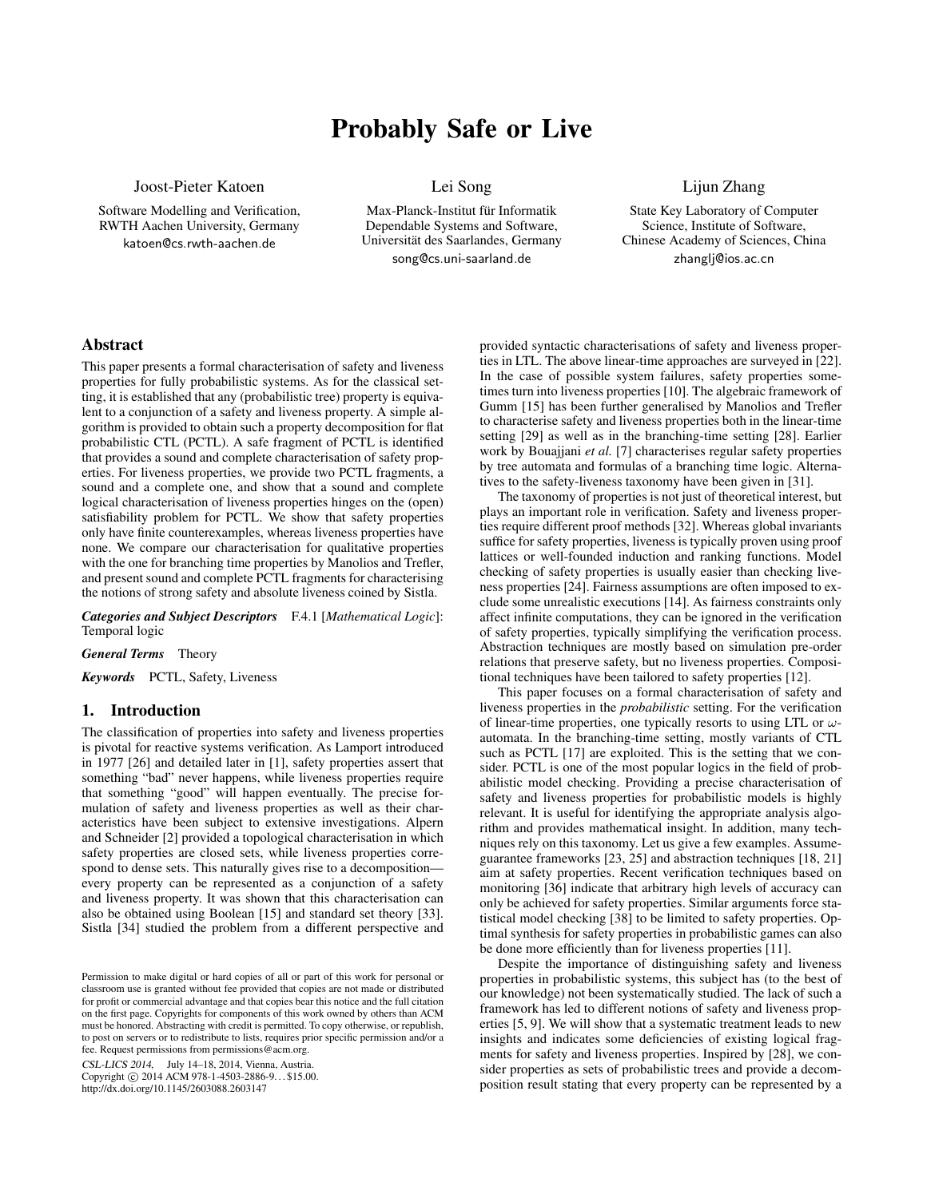# Probably Safe or Live

Joost-Pieter Katoen

Software Modelling and Verification, RWTH Aachen University, Germany katoen@cs.rwth-aachen.de

Lei Song

Max-Planck-Institut für Informatik Dependable Systems and Software, Universitat des Saarlandes, Germany ¨ song@cs.uni-saarland.de

Lijun Zhang

State Key Laboratory of Computer Science, Institute of Software, Chinese Academy of Sciences, China zhanglj@ios.ac.cn

# Abstract

This paper presents a formal characterisation of safety and liveness properties for fully probabilistic systems. As for the classical setting, it is established that any (probabilistic tree) property is equivalent to a conjunction of a safety and liveness property. A simple algorithm is provided to obtain such a property decomposition for flat probabilistic CTL (PCTL). A safe fragment of PCTL is identified that provides a sound and complete characterisation of safety properties. For liveness properties, we provide two PCTL fragments, a sound and a complete one, and show that a sound and complete logical characterisation of liveness properties hinges on the (open) satisfiability problem for PCTL. We show that safety properties only have finite counterexamples, whereas liveness properties have none. We compare our characterisation for qualitative properties with the one for branching time properties by Manolios and Trefler, and present sound and complete PCTL fragments for characterising the notions of strong safety and absolute liveness coined by Sistla.

*Categories and Subject Descriptors* F.4.1 [*Mathematical Logic*]: Temporal logic

*General Terms* Theory

*Keywords* PCTL, Safety, Liveness

# 1. Introduction

The classification of properties into safety and liveness properties is pivotal for reactive systems verification. As Lamport introduced in 1977 [26] and detailed later in [1], safety properties assert that something "bad" never happens, while liveness properties require that something "good" will happen eventually. The precise formulation of safety and liveness properties as well as their characteristics have been subject to extensive investigations. Alpern and Schneider [2] provided a topological characterisation in which safety properties are closed sets, while liveness properties correspond to dense sets. This naturally gives rise to a decomposition every property can be represented as a conjunction of a safety and liveness property. It was shown that this characterisation can also be obtained using Boolean [15] and standard set theory [33]. Sistla [34] studied the problem from a different perspective and

CSL-LICS 2014, July 14–18, 2014, Vienna, Austria. Copyright © 2014 ACM 978-1-4503-2886-9... \$15.00.

http://dx.doi.org/10.1145/2603088.2603147

provided syntactic characterisations of safety and liveness properties in LTL. The above linear-time approaches are surveyed in [22]. In the case of possible system failures, safety properties sometimes turn into liveness properties [10]. The algebraic framework of Gumm [15] has been further generalised by Manolios and Trefler to characterise safety and liveness properties both in the linear-time setting [29] as well as in the branching-time setting [28]. Earlier work by Bouajjani *et al.* [7] characterises regular safety properties by tree automata and formulas of a branching time logic. Alternatives to the safety-liveness taxonomy have been given in [31].

The taxonomy of properties is not just of theoretical interest, but plays an important role in verification. Safety and liveness properties require different proof methods [32]. Whereas global invariants suffice for safety properties, liveness is typically proven using proof lattices or well-founded induction and ranking functions. Model checking of safety properties is usually easier than checking liveness properties [24]. Fairness assumptions are often imposed to exclude some unrealistic executions [14]. As fairness constraints only affect infinite computations, they can be ignored in the verification of safety properties, typically simplifying the verification process. Abstraction techniques are mostly based on simulation pre-order relations that preserve safety, but no liveness properties. Compositional techniques have been tailored to safety properties [12].

This paper focuses on a formal characterisation of safety and liveness properties in the *probabilistic* setting. For the verification of linear-time properties, one typically resorts to using LTL or  $\omega$ automata. In the branching-time setting, mostly variants of CTL such as PCTL [17] are exploited. This is the setting that we consider. PCTL is one of the most popular logics in the field of probabilistic model checking. Providing a precise characterisation of safety and liveness properties for probabilistic models is highly relevant. It is useful for identifying the appropriate analysis algorithm and provides mathematical insight. In addition, many techniques rely on this taxonomy. Let us give a few examples. Assumeguarantee frameworks [23, 25] and abstraction techniques [18, 21] aim at safety properties. Recent verification techniques based on monitoring [36] indicate that arbitrary high levels of accuracy can only be achieved for safety properties. Similar arguments force statistical model checking [38] to be limited to safety properties. Optimal synthesis for safety properties in probabilistic games can also be done more efficiently than for liveness properties [11].

Despite the importance of distinguishing safety and liveness properties in probabilistic systems, this subject has (to the best of our knowledge) not been systematically studied. The lack of such a framework has led to different notions of safety and liveness properties [5, 9]. We will show that a systematic treatment leads to new insights and indicates some deficiencies of existing logical fragments for safety and liveness properties. Inspired by [28], we consider properties as sets of probabilistic trees and provide a decomposition result stating that every property can be represented by a

Permission to make digital or hard copies of all or part of this work for personal or classroom use is granted without fee provided that copies are not made or distributed for profit or commercial advantage and that copies bear this notice and the full citation on the first page. Copyrights for components of this work owned by others than ACM must be honored. Abstracting with credit is permitted. To copy otherwise, or republish, to post on servers or to redistribute to lists, requires prior specific permission and/or a fee. Request permissions from permissions@acm.org.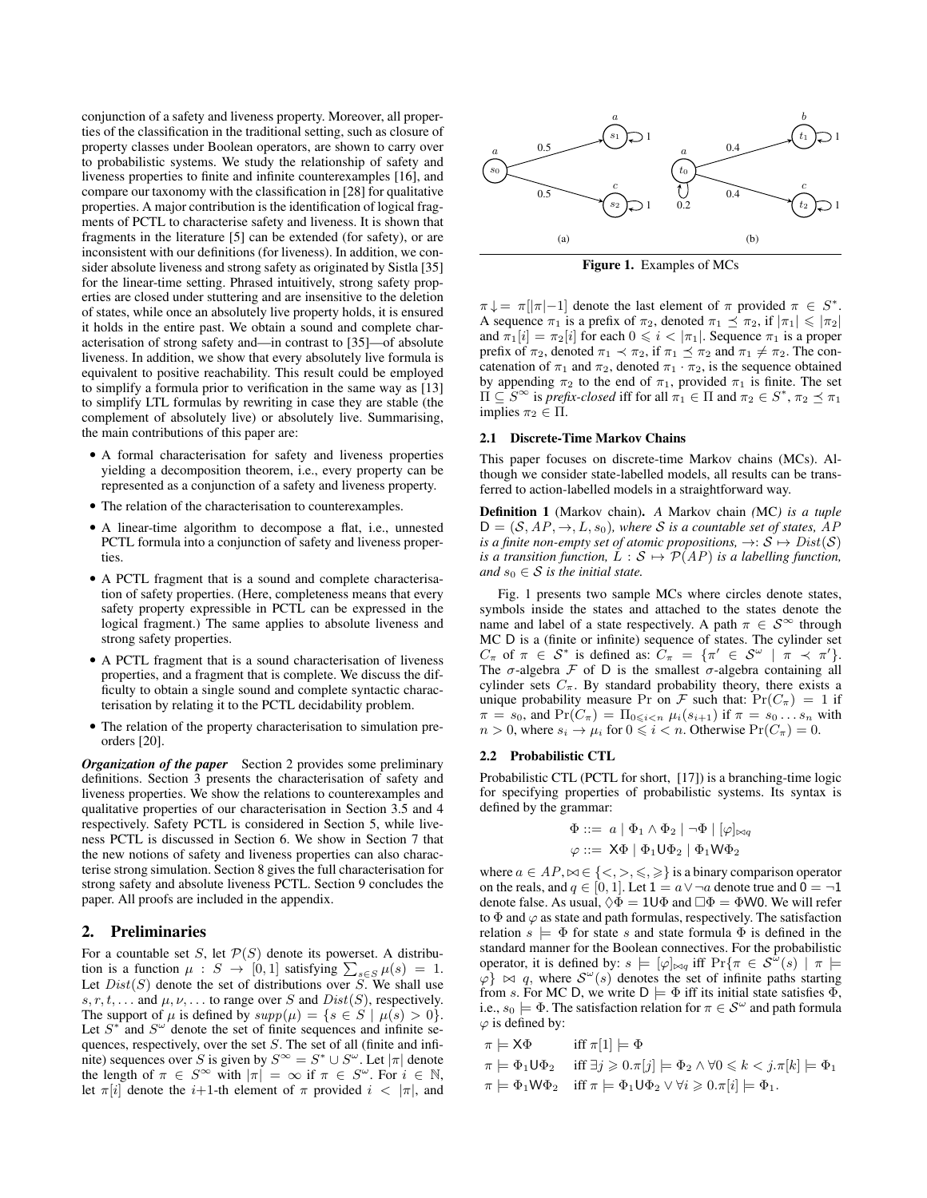conjunction of a safety and liveness property. Moreover, all properties of the classification in the traditional setting, such as closure of property classes under Boolean operators, are shown to carry over to probabilistic systems. We study the relationship of safety and liveness properties to finite and infinite counterexamples [16], and compare our taxonomy with the classification in [28] for qualitative properties. A major contribution is the identification of logical fragments of PCTL to characterise safety and liveness. It is shown that fragments in the literature [5] can be extended (for safety), or are inconsistent with our definitions (for liveness). In addition, we consider absolute liveness and strong safety as originated by Sistla [35] for the linear-time setting. Phrased intuitively, strong safety properties are closed under stuttering and are insensitive to the deletion of states, while once an absolutely live property holds, it is ensured it holds in the entire past. We obtain a sound and complete characterisation of strong safety and—in contrast to [35]—of absolute liveness. In addition, we show that every absolutely live formula is equivalent to positive reachability. This result could be employed to simplify a formula prior to verification in the same way as [13] to simplify LTL formulas by rewriting in case they are stable (the complement of absolutely live) or absolutely live. Summarising, the main contributions of this paper are:

- A formal characterisation for safety and liveness properties yielding a decomposition theorem, i.e., every property can be represented as a conjunction of a safety and liveness property.
- The relation of the characterisation to counterexamples.
- A linear-time algorithm to decompose a flat, i.e., unnested PCTL formula into a conjunction of safety and liveness properties.
- A PCTL fragment that is a sound and complete characterisation of safety properties. (Here, completeness means that every safety property expressible in PCTL can be expressed in the logical fragment.) The same applies to absolute liveness and strong safety properties.
- A PCTL fragment that is a sound characterisation of liveness properties, and a fragment that is complete. We discuss the difficulty to obtain a single sound and complete syntactic characterisation by relating it to the PCTL decidability problem.
- The relation of the property characterisation to simulation preorders [20].

*Organization of the paper* Section 2 provides some preliminary definitions. Section 3 presents the characterisation of safety and liveness properties. We show the relations to counterexamples and qualitative properties of our characterisation in Section 3.5 and 4 respectively. Safety PCTL is considered in Section 5, while liveness PCTL is discussed in Section 6. We show in Section 7 that the new notions of safety and liveness properties can also characterise strong simulation. Section 8 gives the full characterisation for strong safety and absolute liveness PCTL. Section 9 concludes the paper. All proofs are included in the appendix.

# 2. Preliminaries

For a countable set  $S$ , let  $\mathcal{P}(S)$  denote its powerset. A distribution is a function  $\mu : S \to [0,1]$  satisfying  $\sum_{s \in S} \mu(s) = 1$ . Let  $Dist(S)$  denote the set of distributions over S. We shall use s, r, t, ... and  $\mu$ ,  $\nu$ , ... to range over S and  $Dist(S)$ , respectively. The support of  $\mu$  is defined by  $supp(\mu) = \{s \in S \mid \mu(s) > 0\}.$ Let  $S^*$  and  $S^{\omega}$  denote the set of finite sequences and infinite sequences, respectively, over the set S. The set of all (finite and infinite) sequences over S is given by  $S^{\infty} = S^* \cup S^{\omega}$ . Let  $|\pi|$  denote the length of  $\pi \in S^{\infty}$  with  $|\pi| = \infty$  if  $\pi \in S^{\omega}$ . For  $i \in \mathbb{N}$ , let  $\pi[i]$  denote the i+1-th element of  $\pi$  provided  $i < |\pi|$ , and



Figure 1. Examples of MCs

 $\pi \downarrow = \pi[|\pi| - 1]$  denote the last element of  $\pi$  provided  $\pi \in S^*$ . A sequence  $\pi_1$  is a prefix of  $\pi_2$ , denoted  $\pi_1 \preceq \pi_2$ , if  $|\pi_1| \leq |\pi_2|$ and  $\pi_1[i] = \pi_2[i]$  for each  $0 \le i < |\pi_1|$ . Sequence  $\pi_1$  is a proper prefix of  $\pi_2$ , denoted  $\pi_1 \prec \pi_2$ , if  $\pi_1 \preceq \pi_2$  and  $\pi_1 \neq \pi_2$ . The concatenation of  $\pi_1$  and  $\pi_2$ , denoted  $\pi_1 \cdot \pi_2$ , is the sequence obtained by appending  $\pi_2$  to the end of  $\pi_1$ , provided  $\pi_1$  is finite. The set  $\Pi\subseteq S^{\infty}$  is *prefix-closed* iff for all  $\pi_1\in\Pi$  and  $\pi_2\in S^*,$   $\pi_2\preceq\pi_1$ implies  $\pi_2 \in \Pi$ .

## 2.1 Discrete-Time Markov Chains

This paper focuses on discrete-time Markov chains (MCs). Although we consider state-labelled models, all results can be transferred to action-labelled models in a straightforward way.

Definition 1 (Markov chain). *A* Markov chain *(*MC*) is a tuple*  $D = (S, AP, \rightarrow, L, s_0)$ *, where* S *is a countable set of states, AP is a finite non-empty set of atomic propositions,*  $\rightarrow : \mathcal{S} \mapsto Dist(\mathcal{S})$ *is a transition function,*  $\ddot{L}: \mathcal{S} \mapsto \mathcal{P}(AP)$  *is a labelling function, and*  $s_0 \in S$  *is the initial state.* 

Fig. 1 presents two sample MCs where circles denote states, symbols inside the states and attached to the states denote the name and label of a state respectively. A path  $\pi \in S^{\infty}$  through MC D is a (finite or infinite) sequence of states. The cylinder set  $C_{\pi}$  of  $\pi \in S^*$  is defined as:  $C_{\pi} = {\pi' \in S^{\omega} \mid \pi \prec \pi'}.$ The  $\sigma$ -algebra  $\mathcal F$  of D is the smallest  $\sigma$ -algebra containing all cylinder sets  $C_{\pi}$ . By standard probability theory, there exists a unique probability measure Pr on  $\mathcal F$  such that:  $Pr(C_{\pi}) = 1$  if  $\pi = s_0$ , and  $Pr(C_{\pi}) = \prod_{0 \leq i \leq n} \mu_i(s_{i+1})$  if  $\pi = s_0 \dots s_n$  with  $n > 0$ , where  $s_i \to \mu_i$  for  $0 \leq i < n$ . Otherwise  $Pr(C_{\pi}) = 0$ .

#### 2.2 Probabilistic CTL

Probabilistic CTL (PCTL for short, [17]) is a branching-time logic for specifying properties of probabilistic systems. Its syntax is defined by the grammar:

$$
\Phi ::= a | \Phi_1 \land \Phi_2 | \neg \Phi | [\varphi]_{\bowtie q}
$$
  

$$
\varphi ::= X\Phi | \Phi_1 \mathsf{U} \Phi_2 | \Phi_1 \mathsf{W} \Phi_2
$$

where  $a \in AP$ ,  $\bowtie \in \{ \langle \rangle, \rangle, \langle \langle \rangle, \rangle \}$  is a binary comparison operator on the reals, and  $q \in [0, 1]$ . Let  $1 = a \vee \neg a$  denote true and  $0 = \neg 1$ denote false. As usual,  $\Diamond \Phi = 1 \cup \Phi$  and  $\Box \Phi = \Phi W0$ . We will refer to  $\Phi$  and  $\varphi$  as state and path formulas, respectively. The satisfaction relation  $s \models \Phi$  for state s and state formula  $\Phi$  is defined in the standard manner for the Boolean connectives. For the probabilistic operator, it is defined by:  $s \models [\varphi]_{\bowtie q}$  iff  $\Pr{\pi \in S^{\hat{\omega}}(s) \mid \pi \models \pi}$  $\varphi$   $\otimes$   $\varphi$ , where  $\mathcal{S}^{\omega}(s)$  denotes the set of infinite paths starting from s. For MC D, we write  $D \models \Phi$  iff its initial state satisfies  $\Phi$ , i.e.,  $s_0 \models \Phi$ . The satisfaction relation for  $\pi \in \mathcal{S}^{\omega}$  and path formula  $\varphi$  is defined by:

 $\pi \models \mathsf{X}\Phi$  iff  $\pi[1] \models \Phi$  $\pi \models \Phi_1 \mathsf{U} \Phi_2 \quad \text{ iff } \exists j \geqslant 0 \ldotp \pi[j] \models \Phi_2 \land \forall 0 \leqslant k < j \ldotp \pi[k] \models \Phi_1$  $\pi \models \Phi_1 \mathsf{W} \Phi_2$  iff  $\pi \models \Phi_1 \mathsf{U} \Phi_2 \vee \forall i \geqslant 0 \ldots \pi[i] \models \Phi_1$ .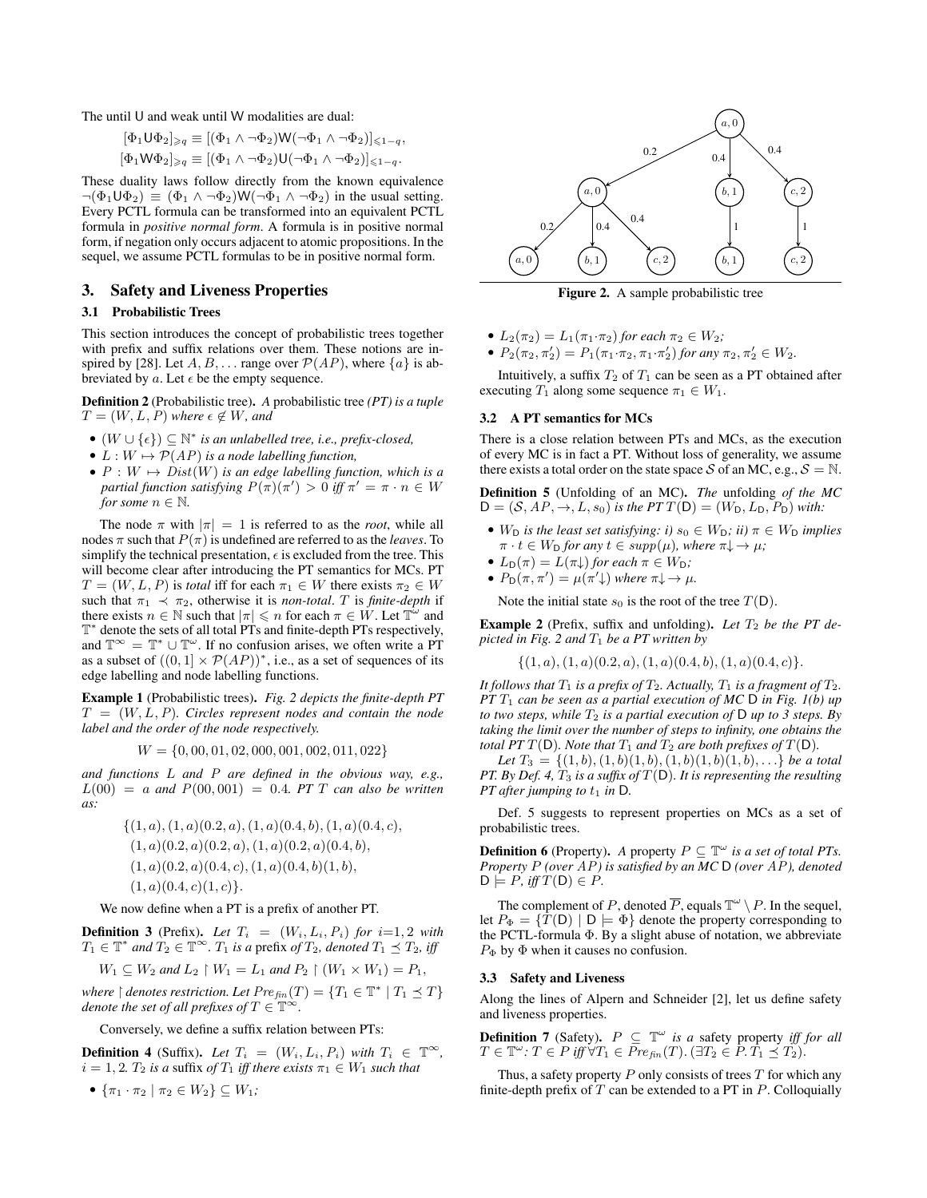The until U and weak until W modalities are dual:

$$
[\Phi_1 \cup \Phi_2]_{\geq q} \equiv [(\Phi_1 \wedge \neg \Phi_2) \mathsf{W}(\neg \Phi_1 \wedge \neg \Phi_2)]_{\leq 1-q},
$$
  

$$
[\Phi_1 \mathsf{W} \Phi_2]_{\geqslant q} \equiv [(\Phi_1 \wedge \neg \Phi_2) \mathsf{U}(\neg \Phi_1 \wedge \neg \Phi_2)]_{\leqslant 1-q}.
$$

These duality laws follow directly from the known equivalence  $\neg(\Phi_1 \cup \Phi_2) \equiv (\Phi_1 \land \neg \Phi_2) \mathsf{W}(\neg \Phi_1 \land \neg \Phi_2)$  in the usual setting. Every PCTL formula can be transformed into an equivalent PCTL formula in *positive normal form*. A formula is in positive normal form, if negation only occurs adjacent to atomic propositions. In the sequel, we assume PCTL formulas to be in positive normal form.

# 3. Safety and Liveness Properties

# 3.1 Probabilistic Trees

This section introduces the concept of probabilistic trees together with prefix and suffix relations over them. These notions are inspired by [28]. Let  $A, B, \ldots$  range over  $\mathcal{P}(AP)$ , where  $\{a\}$  is abbreviated by a. Let  $\epsilon$  be the empty sequence.

Definition 2 (Probabilistic tree). *A* probabilistic tree *(PT) is a tuple*  $T = (W, L, P)$  *where*  $\epsilon \notin W$ *, and* 

- $(W \cup \{\epsilon\}) \subseteq \mathbb{N}^*$  *is an unlabelled tree, i.e., prefix-closed,*
- $L: W \mapsto \mathcal{P}(AP)$  *is a node labelling function,*
- $P: W \mapsto Dist(W)$  *is an edge labelling function, which is a partial function satisfying*  $P(\pi)(\pi') > 0$  *iff*  $\pi' = \pi \cdot n \in W$ *for some*  $n \in \mathbb{N}$ *.*

The node  $\pi$  with  $|\pi| = 1$  is referred to as the *root*, while all nodes  $\pi$  such that  $P(\pi)$  is undefined are referred to as the *leaves*. To simplify the technical presentation,  $\epsilon$  is excluded from the tree. This will become clear after introducing the PT semantics for MCs. PT  $T = (W, L, P)$  is *total* iff for each  $\pi_1 \in W$  there exists  $\pi_2 \in W$ such that  $\pi_1 \prec \pi_2$ , otherwise it is *non-total*. T is *finite-depth* if there exists  $n \in \mathbb{N}$  such that  $|\pi| \leq n$  for each  $\pi \in W$ . Let  $\mathbb{T}^{\omega}$  and T ∗ denote the sets of all total PTs and finite-depth PTs respectively, and  $\mathbb{T}^{\infty} = \mathbb{T}^* \cup \mathbb{T}^{\omega}$ . If no confusion arises, we often write a PT as a subset of  $((0,1] \times \mathcal{P}(AP))^*$ , i.e., as a set of sequences of its edge labelling and node labelling functions.

Example 1 (Probabilistic trees). *Fig. 2 depicts the finite-depth PT*  $T = (W, L, P)$ *. Circles represent nodes and contain the node label and the order of the node respectively.*

$$
W = \{0, 00, 01, 02, 000, 001, 002, 011, 022\}
$$

*and functions* L *and* P *are defined in the obvious way, e.g.,*  $L(00) = a$  *and*  $P(00, 001) = 0.4$  *PT T can also be written as:*

$$
\{(1, a), (1, a)(0.2, a), (1, a)(0.4, b), (1, a)(0.4, c), (1, a)(0.2, a)(0.2, a), (1, a)(0.2, a)(0.4, b), (1, a)(0.2, a)(0.4, c), (1, a)(0.4, b)(1, b), (1, a)(0.4, c)(1, c)\}.
$$

We now define when a PT is a prefix of another PT.

**Definition 3** (Prefix). Let  $T_i = (W_i, L_i, P_i)$  for  $i=1, 2$  with  $T_1 \in \mathbb{T}^*$  and  $T_2 \in \mathbb{T}^\infty$ .  $T_1$  *is a* prefix of  $T_2$ *, denoted*  $T_1 \preceq T_2$ *, iff* 

$$
W_1 \subseteq W_2 \text{ and } L_2 \upharpoonright W_1 = L_1 \text{ and } P_2 \upharpoonright (W_1 \times W_1) = P_1,
$$

*where*  $\restriction$  *denotes restriction. Let*  $Pre_{fin}(T) = \{T_1 \in \mathbb{T}^* \mid T_1 \preceq T\}$ *denote the set of all prefixes of*  $T \in \mathbb{T}^{\infty}$ .

Conversely, we define a suffix relation between PTs:

**Definition 4** (Suffix). Let  $T_i = (W_i, L_i, P_i)$  with  $T_i \in \mathbb{T}^\infty$ ,  $i = 1, 2$ *.*  $T_2$  *is a* suffix *of*  $T_1$  *iff there exists*  $\pi_1 \in W_1$  *such that* 

$$
\bullet \ \{\pi_1 \cdot \pi_2 \mid \pi_2 \in W_2\} \subseteq W_1;
$$



Figure 2. A sample probabilistic tree

- $L_2(\pi_2) = L_1(\pi_1 \cdot \pi_2)$  *for each*  $\pi_2 \in W_2$ *;*
- $P_2(\pi_2, \pi_2') = P_1(\pi_1 \cdot \pi_2, \pi_1 \cdot \pi_2')$  for any  $\pi_2, \pi_2' \in W_2$ .

Intuitively, a suffix  $T_2$  of  $T_1$  can be seen as a PT obtained after executing  $T_1$  along some sequence  $\pi_1 \in W_1$ .

## 3.2 A PT semantics for MCs

There is a close relation between PTs and MCs, as the execution of every MC is in fact a PT. Without loss of generality, we assume there exists a total order on the state space S of an MC, e.g.,  $S = N$ .

Definition 5 (Unfolding of an MC). *The* unfolding *of the MC*  $D = (S, AP, \rightarrow, L, s_0)$  *is the PT*  $T(D) = (W_D, L_D, P_D)$  *with:* 

- $W_D$  *is the least set satisfying: i)*  $s_0 \in W_D$ *; ii)*  $\pi \in W_D$  *implies*  $\pi \cdot t \in W_D$  *for any*  $t \in supp(\mu)$ *, where*  $\pi \downarrow \rightarrow \mu$ *;*
- $L_D(\pi) = L(\pi)$  *for each*  $\pi \in W_D$ *;*
- $P_D(\pi, \pi') = \mu(\pi' \downarrow)$  where  $\pi \downarrow \rightarrow \mu$ .

Note the initial state  $s_0$  is the root of the tree  $T(D)$ .

Example 2 (Prefix, suffix and unfolding). Let  $T_2$  be the PT de*picted in Fig. 2 and* T<sup>1</sup> *be a PT written by*

$$
\{(1, a), (1, a)(0.2, a), (1, a)(0.4, b), (1, a)(0.4, c)\}.
$$

*It follows that*  $T_1$  *is a prefix of*  $T_2$ *. Actually,*  $T_1$  *is a fragment of*  $T_2$ *. PT* T<sup>1</sup> *can be seen as a partial execution of MC* D *in Fig. 1(b) up to two steps, while*  $T_2$  *is a partial execution of*  $D$  *up to 3 steps. By taking the limit over the number of steps to infinity, one obtains the total PT*  $T(D)$ *. Note that*  $T_1$  *and*  $T_2$  *are both prefixes of*  $T(D)$ *.* 

*Let*  $T_3 = \{(1, b), (1, b), (1, b), (1, b), (1, b), (1, b), \ldots\}$  *be a total PT. By Def. 4,* T<sup>3</sup> *is a suffix of* T(D)*. It is representing the resulting PT* after jumping to  $t_1$  *in* D.

Def. 5 suggests to represent properties on MCs as a set of probabilistic trees.

**Definition 6** (Property). A property  $P \subseteq \mathbb{T}^{\omega}$  is a set of total PTs. *Property* P *(over* AP*) is satisfied by an MC* D *(over* AP*), denoted*  $D \models P$ *, iff*  $T(D) \in P$ *.* 

The complement of P, denoted  $\overline{P}$ , equals  $\mathbb{T}^{\omega} \setminus P$ . In the sequel, let  $P_{\Phi} = \{T(D) | D \models \Phi\}$  denote the property corresponding to the PCTL-formula Φ. By a slight abuse of notation, we abbreviate  $P_{\Phi}$  by  $\Phi$  when it causes no confusion.

#### 3.3 Safety and Liveness

Along the lines of Alpern and Schneider [2], let us define safety and liveness properties.

**Definition 7** (Safety).  $P \subseteq \mathbb{T}^{\omega}$  is a safety property iff for all  $T \in \mathbb{T}^\omega$ :  $T \in P$  *iff*  $\forall T_1 \in \overline{Pre_{fin}}(T)$ . ( $\exists T_2 \in P$ .  $T_1 \preceq T_2$ ).

Thus, a safety property  $P$  only consists of trees  $T$  for which any finite-depth prefix of  $T$  can be extended to a PT in  $P$ . Colloquially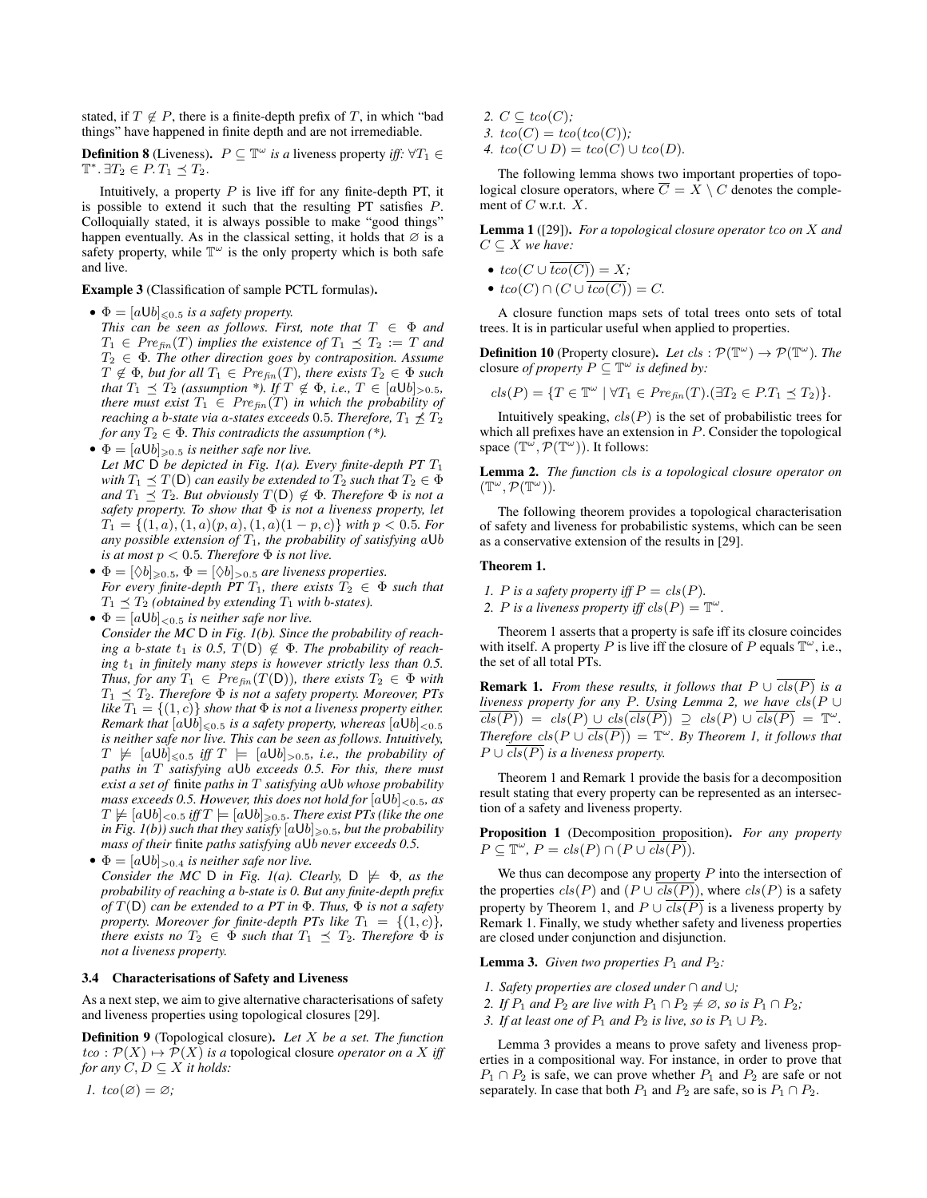stated, if  $T \notin P$ , there is a finite-depth prefix of T, in which "bad things" have happened in finite depth and are not irremediable.

**Definition 8** (Liveness).  $P \subseteq \mathbb{T}^{\omega}$  *is a* liveness property *iff:*  $\forall T_1 \in$  $\mathbb{T}^*.\ \exists T_2 \in P.\ T_1 \preceq T_2.$ 

Intuitively, a property  $P$  is live iff for any finite-depth PT, it is possible to extend it such that the resulting PT satisfies P. Colloquially stated, it is always possible to make "good things" happen eventually. As in the classical setting, it holds that  $\varnothing$  is a safety property, while  $\mathbb{T}^{\omega}$  is the only property which is both safe and live.

Example 3 (Classification of sample PCTL formulas).

•  $\Phi = [a \cup b]_{\leq 0.5}$  *is a safety property.* 

*This can be seen as follows. First, note that*  $T \in \Phi$  *and*  $T_1 \in Pre_{fin}(T)$  *implies the existence of*  $T_1 \preceq T_2 := T$  *and* T<sup>2</sup> ∈ Φ*. The other direction goes by contraposition. Assume*  $T \notin \Phi$ *, but for all*  $T_1 \in Pre_{fin}(T)$ *, there exists*  $T_2 \in \Phi$  *such that*  $T_1 \preceq T_2$  *(assumption \*).* If  $T \notin \Phi$ *, i.e.,*  $T \in [a \cup b]_{>0.5}$ *, there must exist*  $T_1 \in Pre_{fin}(T)$  *in which the probability of reaching a b-state via a-states exceeds* 0.5*. Therefore,*  $T_1 \npreceq T_2$ *for any*  $T_2 \in \Phi$ *. This contradicts the assumption* (\*).

•  $\Phi = [a \cup b]_{\geqslant 0.5}$  *is neither safe nor live.* 

*Let MC*  $\overline{D}$  *be depicted in Fig. 1(a). Every finite-depth PT*  $T_1$ *with*  $T_1 \prec T(D)$  *can easily be extended to*  $T_2$  *such that*  $T_2 \in \Phi$ *and*  $T_1 \prec T_2$ *. But obviously*  $T(D) \notin \Phi$ *. Therefore*  $\Phi$  *is not a safety property. To show that* Φ *is not a liveness property, let*  $T_1 = \{(1, a), (1, a)(p, a), (1, a)(1 - p, c)\}\$  *with*  $p < 0.5$ *. For any possible extension of* T1*, the probability of satisfying* aUb *is at most*  $p < 0.5$ *. Therefore*  $\Phi$  *is not live.* 

- $\Phi = [\Diamond b]_{\geqslant 0.5}, \Phi = [\Diamond b]_{\geqslant 0.5}$  *are liveness properties. For every finite-depth PT*  $T_1$ *, there exists*  $T_2 \in \Phi$  *such that*  $T_1 \preceq T_2$  *(obtained by extending*  $T_1$  *with b-states).*
- $\bullet \Phi = [a \cup b]_{\leq 0.5}$  *is neither safe nor live. Consider the MC* D *in Fig. 1(b). Since the probability of reaching a b-state*  $t_1$  *is 0.5,*  $T(D) \notin \Phi$ *. The probability of reaching*  $t_1$  *in finitely many steps is however strictly less than 0.5. Thus, for any*  $T_1 \in Pre_{fin}(T(\mathsf{D}))$ *, there exists*  $T_2 \in \Phi$  *with*  $T_1 \preceq T_2$ . Therefore  $\Phi$  is not a safety property. Moreover, PTs *like*  $T_1 = \{(1, c)\}$  *show that*  $\Phi$  *is not a liveness property either. Remark that*  $[a \bigcup b]_{\leq 0.5}$  *is a safety property, whereas*  $[a \bigcup b]_{\leq 0.5}$ *is neither safe nor live. This can be seen as follows. Intuitively,*  $T \not\models [a \cup b]_{\leq 0.5}$  *iff*  $T \models [a \cup b]_{\geq 0.5}$ *, i.e., the probability of paths in* T *satisfying* aUb *exceeds 0.5. For this, there must exist a set of* finite *paths in* T *satisfying* aUb *whose probability mass exceeds 0.5. However, this does not hold for* [aUb]<0.5*, as*  $T \not\models [a \cup b]_{< 0.5}$  *iff*  $T \models [a \cup b]_{\geq 0.5}$ *. There exist PTs (like the one in Fig. 1(b)) such that they satisfy*  $[aUb]_{\geq 0.5}$ *, but the probability mass of their* finite *paths satisfying* aUb *never exceeds 0.5.*
- $\bullet \Phi = [a \cup b]_{\geq 0.4}$  *is neither safe nor live. Consider the MC* D *in Fig. 1(a). Clearly,*  $D \not\models \Phi$ *, as the probability of reaching a* b*-state is 0. But any finite-depth prefix of* T(D) *can be extended to a PT in* Φ*. Thus,* Φ *is not a safety property. Moreover for finite-depth PTs like*  $T_1 = \{(1, c)\}\$ , *there exists no*  $T_2 \in \Phi$  *such that*  $T_1 \preceq T_2$ *. Therefore*  $\Phi$  *is not a liveness property.*

#### 3.4 Characterisations of Safety and Liveness

As a next step, we aim to give alternative characterisations of safety and liveness properties using topological closures [29].

Definition 9 (Topological closure). *Let* X *be a set. The function*  $tco: \mathcal{P}(X) \mapsto \mathcal{P}(X)$  *is a* topological closure *operator on a* X *iff for any*  $C, D \subseteq X$  *it holds:* 

*1.*  $tco(\emptyset) = \emptyset$ ;

- 2.  $C \subseteq tco(C)$ ;
- 3.  $tco(C) = tco(tco(C))$ ;
- *4.*  $tco(C \cup D) = tco(C) \cup tco(D)$ .

The following lemma shows two important properties of topological closure operators, where  $\overline{C} = \overline{X} \setminus C$  denotes the complement of  $C$  w.r.t.  $X$ .

Lemma 1 ([29]). *For a topological closure operator tco on* X and  $C \subseteq X$  *we have:* 

- $tco(C \cup \overline{tco(C)}) = X;$
- $tco(C) \cap (C \cup \overline{tco(C)}) = C$ .

A closure function maps sets of total trees onto sets of total trees. It is in particular useful when applied to properties.

**Definition 10** (Property closure). Let  $cls : \mathcal{P}(\mathbb{T}^{\omega}) \to \mathcal{P}(\mathbb{T}^{\omega})$ . The closure *of property*  $P \subseteq \mathbb{T}^\omega$  *is defined by:* 

$$
cls(P) = \{ T \in \mathbb{T}^{\omega} \mid \forall T_1 \in \text{Pre}_{\text{fin}}(T).(\exists T_2 \in P.T_1 \preceq T_2) \}.
$$

Intuitively speaking,  $cls(P)$  is the set of probabilistic trees for which all prefixes have an extension in  $P$ . Consider the topological space  $(\mathbb{T}^{\omega}, \mathcal{P}(\mathbb{T}^{\omega}))$ . It follows:

Lemma 2. *The function* cls *is a topological closure operator on*  $(\mathbb{T}^{\omega}, \mathcal{P}(\mathbb{T}^{\omega})).$ 

The following theorem provides a topological characterisation of safety and liveness for probabilistic systems, which can be seen as a conservative extension of the results in [29].

# Theorem 1.

- *1. P* is a safety property iff  $P = \text{cls}(P)$ .
- 2. *P* is a liveness property iff  $cls(P) = \mathbb{T}^{\omega}$ .

Theorem 1 asserts that a property is safe iff its closure coincides with itself. A property P is live iff the closure of P equals  $\mathbb{T}^{\omega}$ , i.e., the set of all total PTs.

**Remark 1.** *From these results, it follows that*  $P \cup \overline{cls(P)}$  *is a liveness property for any* P*. Using Lemma 2, we have* cls(P ∪  $\overline{cls(P)}$  =  $cls(P) \cup \overline{cls(P)}$   $\supseteq \overline{cls(P)} \cup \overline{cls(P)}$  =  $\mathbb{T}^{\omega}$ . *Therefore*  $cls(P \cup \overline{cls(P)}) = \mathbb{T}^{\omega}$ . By Theorem 1, it follows that  $P \cup \mathit{cls}(P)$  *is a liveness property.* 

Theorem 1 and Remark 1 provide the basis for a decomposition result stating that every property can be represented as an intersection of a safety and liveness property.

Proposition 1 (Decomposition proposition). *For any property*  $P \subseteq \mathbb{T}^\omega$ ,  $P = \text{cls}(P) \cap (P \cup \overline{\text{cls}(P)}).$ 

We thus can decompose any property  $P$  into the intersection of the properties  $cls(P)$  and  $(P \cup \overline{cls(P)})$ , where  $cls(P)$  is a safety property by Theorem 1, and  $P \cup \overline{cls(P)}$  is a liveness property by Remark 1. Finally, we study whether safety and liveness properties are closed under conjunction and disjunction.

**Lemma 3.** *Given two properties*  $P_1$  *and*  $P_2$ *:* 

- *1. Safety properties are closed under* ∩ *and* ∪*;*
- *2. If*  $P_1$  *and*  $P_2$  *are live with*  $P_1 \cap P_2 \neq \emptyset$ *, so is*  $P_1 \cap P_2$ *;*
- *3. If at least one of*  $P_1$  *and*  $P_2$  *is live, so is*  $P_1 \cup P_2$ *.*

Lemma 3 provides a means to prove safety and liveness properties in a compositional way. For instance, in order to prove that  $P_1 \cap P_2$  is safe, we can prove whether  $P_1$  and  $P_2$  are safe or not separately. In case that both  $P_1$  and  $P_2$  are safe, so is  $P_1 \cap P_2$ .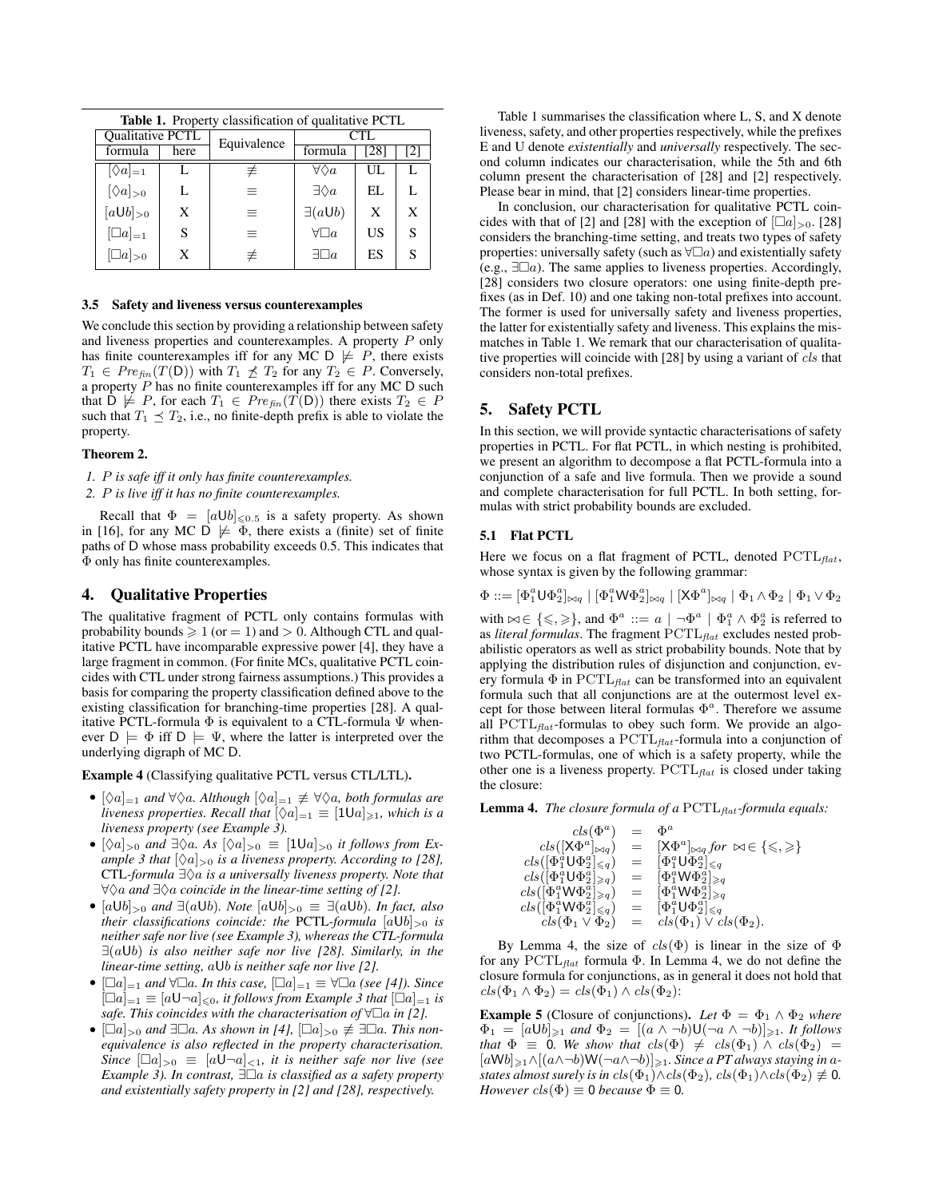| <b>Table 1.</b> Property classification of qualitative PCTL |  |  |  |
|-------------------------------------------------------------|--|--|--|
|                                                             |  |  |  |
| 121                                                         |  |  |  |
|                                                             |  |  |  |
| L                                                           |  |  |  |
| X                                                           |  |  |  |
| S                                                           |  |  |  |
| S                                                           |  |  |  |
| [28]<br>UL<br>EL.<br>X<br>US<br>ES                          |  |  |  |

#### 3.5 Safety and liveness versus counterexamples

We conclude this section by providing a relationship between safety and liveness properties and counterexamples. A property P only has finite counterexamples iff for any MC D  $\not\models$  P, there exists  $T_1 \in Pre_{fin}(T(\mathsf{D}))$  with  $T_1 \npreceq T_2$  for any  $T_2 \in P$ . Conversely, a property  $P$  has no finite counterexamples iff for any MC  $D$  such that  $D \not\models P$ , for each  $T_1 \in Pre_{fin}(T(D))$  there exists  $T_2 \in P$ such that  $T_1 \preceq T_2$ , i.e., no finite-depth prefix is able to violate the property.

#### Theorem 2.

*1.* P *is safe iff it only has finite counterexamples.*

*2.* P *is live iff it has no finite counterexamples.*

Recall that  $\Phi = [a \cup b]_{\leq 0.5}$  is a safety property. As shown in [16], for any MC  $\triangleright$   $\neq$   $\Phi$ , there exists a (finite) set of finite paths of D whose mass probability exceeds 0.5. This indicates that Φ only has finite counterexamples.

# 4. Qualitative Properties

The qualitative fragment of PCTL only contains formulas with probability bounds  $\geqslant 1$  (or  $=1)$  and  $>0.$  Although CTL and qualitative PCTL have incomparable expressive power [4], they have a large fragment in common. (For finite MCs, qualitative PCTL coincides with CTL under strong fairness assumptions.) This provides a basis for comparing the property classification defined above to the existing classification for branching-time properties [28]. A qualitative PCTL-formula  $\Phi$  is equivalent to a CTL-formula  $\Psi$  whenever  $D \models \Phi$  iff  $D \models \Psi$ , where the latter is interpreted over the underlying digraph of MC D.

Example 4 (Classifying qualitative PCTL versus CTL/LTL).

- $[\Diamond a]_{=1}$  *and*  $\forall \Diamond a$ *. Although*  $[\Diamond a]_{=1} \not\equiv \forall \Diamond a$ *, both formulas are liveness properties. Recall that*  $[\Diamond a]_{=1} \equiv [1 \text{U} a]_{\geqslant 1}$ *, which is a liveness property (see Example 3).*
- $[\Diamond a]_{>0}$  *and*  $\exists \Diamond a$ *. As*  $[\Diamond a]_{>0} \equiv [1 \cup a]_{>0}$  *it follows from Example 3 that*  $[\Diamond a]_{>0}$  *is a liveness property. According to [28],* CTL-formula ∃ $\Diamond a$  *is a universally liveness property. Note that* ∀♦a *and* ∃♦a *coincide in the linear-time setting of [2].*
- $[a \cup b]_{\geq 0}$  *and*  $\exists (a \cup b)$ *. Note*  $[a \cup b]_{\geq 0} \equiv \exists (a \cup b)$ *. In fact, also their classifications coincide: the PCTL-formula*  $[aUb]_{>0}$  *is neither safe nor live (see Example 3), whereas the CTL-formula* ∃(aUb) *is also neither safe nor live [28]. Similarly, in the linear-time setting,* aUb *is neither safe nor live [2].*
- $[\Box a]_{=1}$  *and*  $\forall \Box a$ *. In this case,*  $[\Box a]_{=1} \equiv \forall \Box a$  *(see [4]). Since*  $[\Box a]_{=1} \equiv [a \mathsf{U} \neg a]_{\leq 0}$ *, it follows from Example 3 that*  $[\Box a]_{=1}$  *is safe. This coincides with the characterisation of*  $\forall \Box a$  *in* [2].
- $[\Box a]_{>0}$  *and*  $\exists \Box a$ *. As shown in* [4],  $[\Box a]_{>0} \not\equiv \exists \Box a$ *. This nonequivalence is also reflected in the property characterisation. Since*  $[\Box a]_{>0} \equiv [a \Box \neg a]_{<1}$ *, it is neither safe nor live (see Example 3). In contrast,*  $\exists \Box a$  *is classified as a safety property and existentially safety property in [2] and [28], respectively.*

Table 1 summarises the classification where L, S, and X denote liveness, safety, and other properties respectively, while the prefixes E and U denote *existentially* and *universally* respectively. The second column indicates our characterisation, while the 5th and 6th column present the characterisation of [28] and [2] respectively. Please bear in mind, that [2] considers linear-time properties.

In conclusion, our characterisation for qualitative PCTL coincides with that of [2] and [28] with the exception of  $\lceil \Box a \rceil_{>0}$ . [28] considers the branching-time setting, and treats two types of safety properties: universally safety (such as  $\forall \Box a$ ) and existentially safety (e.g.,  $\exists \Box a$ ). The same applies to liveness properties. Accordingly, [28] considers two closure operators: one using finite-depth prefixes (as in Def. 10) and one taking non-total prefixes into account. The former is used for universally safety and liveness properties, the latter for existentially safety and liveness. This explains the mismatches in Table 1. We remark that our characterisation of qualitative properties will coincide with [28] by using a variant of cls that considers non-total prefixes.

# 5. Safety PCTL

In this section, we will provide syntactic characterisations of safety properties in PCTL. For flat PCTL, in which nesting is prohibited, we present an algorithm to decompose a flat PCTL-formula into a conjunction of a safe and live formula. Then we provide a sound and complete characterisation for full PCTL. In both setting, formulas with strict probability bounds are excluded.

#### 5.1 Flat PCTL

Here we focus on a flat fragment of PCTL, denoted  $PCTL_{flat}$ , whose syntax is given by the following grammar:

 $\Phi ::= [\Phi_1^a \mathsf{U} \Phi_2^a]_{\bowtie q} \mid [\Phi_1^a \mathsf{W} \Phi_2^a]_{\bowtie q} \mid [\mathsf{X} \Phi^a]_{\bowtie q} \mid \Phi_1 \wedge \Phi_2 \mid \Phi_1 \vee \Phi_2$ 

with  $\bowtie \in \{\leqslant,\geqslant\}$ , and  $\Phi^a ::= a \mid \neg \Phi^a \mid \Phi_1^a \wedge \Phi_2^a$  is referred to as *literal formulas*. The fragment  $PCTL_{flat}$  excludes nested probabilistic operators as well as strict probability bounds. Note that by applying the distribution rules of disjunction and conjunction, every formula  $\Phi$  in PCTL<sub>flat</sub> can be transformed into an equivalent formula such that all conjunctions are at the outermost level except for those between literal formulas  $\Phi^a$ . Therefore we assume all  $PCTL_{flat}$ -formulas to obey such form. We provide an algorithm that decomposes a  $PCTL_{flat}$ -formula into a conjunction of two PCTL-formulas, one of which is a safety property, while the other one is a liveness property.  $PCTL_{flat}$  is closed under taking the closure:

Lemma 4. *The closure formula of a* PCTL<sub>*flat-formula equals:*</sub>

| $cls(\Phi^a)$                                       | $=$ $-$ | $\Phi^a$                                                          |
|-----------------------------------------------------|---------|-------------------------------------------------------------------|
| $cls([X\Phi^a]_{\bowtie q})$                        | $=$     | $[X\Phi^a]_{\bowtie q}$ for $\bowtie \in \{\leqslant,\geqslant\}$ |
| $cls([\Phi_1^a \cup \Phi_2^a]_{\leq q})$            |         | $= \left[ \Phi_1^a \mathsf{U} \Phi_2^a \right]_{\leq q}$          |
| $cls([\Phi_1^a \mathsf{U} \Phi_2^a]_{\geqslant q})$ |         | $= \left[ \Phi_1^a \mathsf{W} \Phi_2^a \right]_{\geqslant q}$     |
| $cls([\Phi_1^a \mathsf{W} \Phi_2^a]_{\geqslant q})$ |         | $= \left[ \Phi_1^a \mathsf{W} \Phi_2^a \right]_{\geqslant q}$     |
| $cls([\Phi_1^a \mathsf{W} \Phi_2^a]_{\leq q})$      |         | $= \left[ \Phi_1^a \mathsf{U} \Phi_2^a \right]_{\leq q}$          |
| $cls(\Phi_1 \vee \Phi_2)$                           | $=$ $-$ | $cls(\Phi_1) \vee cls(\Phi_2).$                                   |

By Lemma 4, the size of  $cls(\Phi)$  is linear in the size of  $\Phi$ for any  $PCTL_{flat}$  formula Φ. In Lemma 4, we do not define the closure formula for conjunctions, as in general it does not hold that  $cls(\Phi_1 \wedge \Phi_2) = cls(\Phi_1) \wedge cls(\Phi_2)$ :

**Example 5** (Closure of conjunctions). Let  $\Phi = \Phi_1 \wedge \Phi_2$  where  $\Phi_1 = [a \cup b]_{\geq 1}$  *and*  $\Phi_2 = [(a \wedge \neg b) \cup (\neg a \wedge \neg b)]_{\geq 1}$ *. It follows that*  $\Phi \equiv 0$ *. We show that*  $cls(\Phi) \neq \text{cls}(\Phi_1) \land \text{cls}(\Phi_2)$  = [aWb]<sup>&</sup>gt;1∧[(a∧¬b)W(¬a∧¬b)]<sup>&</sup>gt;1*. Since a PT always staying in* a*states almost surely is in*  $cls(\Phi_1) \wedge cls(\Phi_2)$ ,  $cls(\Phi_1) \wedge cls(\Phi_2) \neq 0$ . *However*  $cls(\Phi) \equiv 0$  *because*  $\Phi \equiv 0$ *.*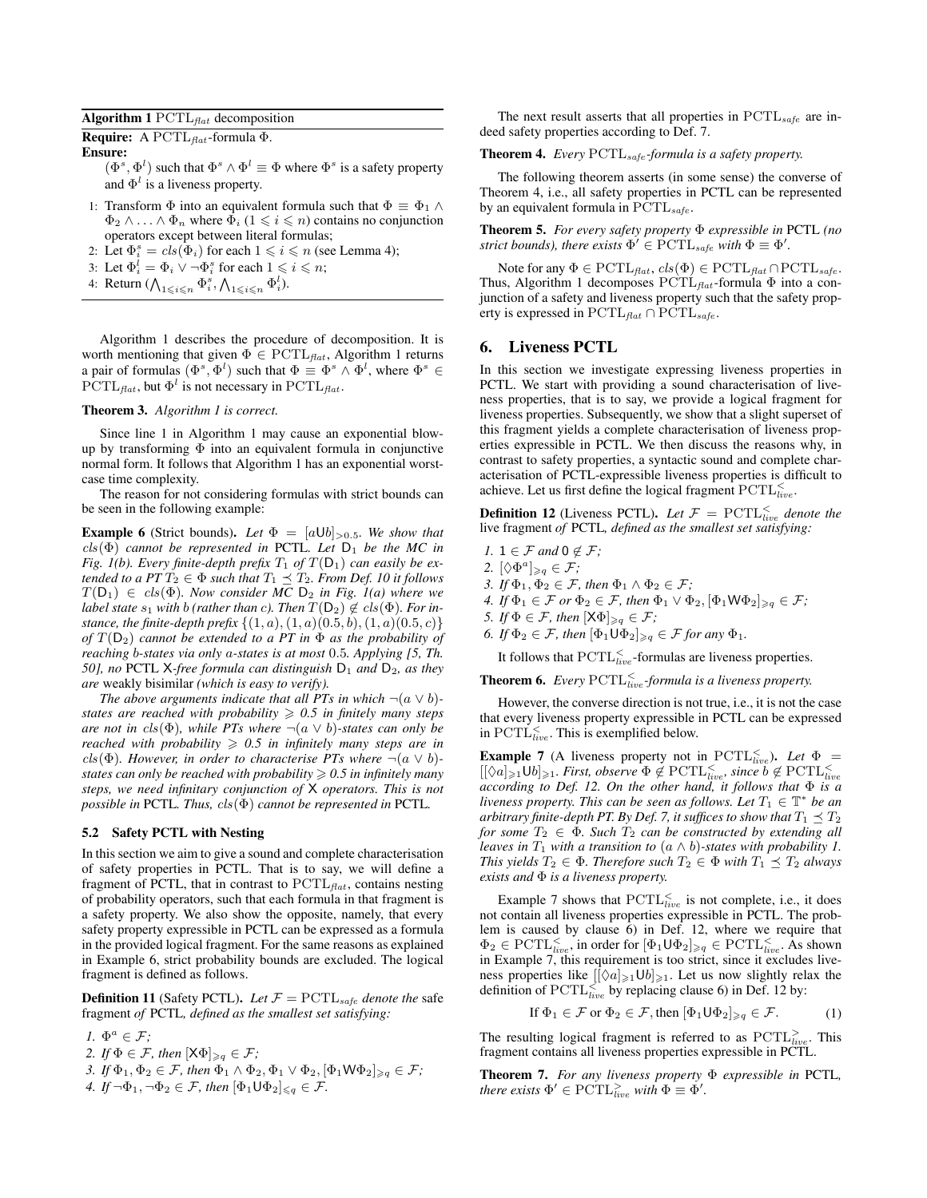Algorithm 1  $PCTL_{flat}$  decomposition

**Require:** A PCTL<sub>flat</sub>-formula  $\Phi$ .

Ensure:

 $(\Phi^s, \Phi^l)$  such that  $\Phi^s \wedge \Phi^l \equiv \Phi$  where  $\Phi^s$  is a safety property and  $\Phi^l$  is a liveness property.

- 1: Transform  $\Phi$  into an equivalent formula such that  $\Phi \equiv \Phi_1 \wedge \Phi_2$  $\Phi_2 \wedge \ldots \wedge \Phi_n$  where  $\Phi_i$  ( $1 \leq i \leq n$ ) contains no conjunction operators except between literal formulas;
- 2: Let  $\Phi_i^s = \text{cls}(\Phi_i)$  for each  $1 \leq i \leq n$  (see Lemma 4);
- 3: Let  $\Phi_i^l = \Phi_i \vee \neg \Phi_i^s$  for each  $1 \leq i \leq n$ ;
- 4: Return  $(\bigwedge_{1 \leq i \leq n} \Phi_i^s, \bigwedge_{1 \leq i \leq n} \Phi_i^l)$ .

Algorithm 1 describes the procedure of decomposition. It is worth mentioning that given  $\Phi \in \text{PCTL}_{\text{flat}}$ , Algorithm 1 returns a pair of formulas  $(\Phi^s, \Phi^l)$  such that  $\Phi \equiv \Phi^s \wedge \Phi^l$ , where  $\Phi^s \in$  $\text{PCTL}_{\text{flat}}$ , but  $\Phi^l$  is not necessary in  $\text{PCTL}_{\text{flat}}$ .

# Theorem 3. *Algorithm 1 is correct.*

Since line 1 in Algorithm 1 may cause an exponential blowup by transforming  $\Phi$  into an equivalent formula in conjunctive normal form. It follows that Algorithm 1 has an exponential worstcase time complexity.

The reason for not considering formulas with strict bounds can be seen in the following example:

**Example 6** (Strict bounds). Let  $\Phi = [a \cup b]_{>0.5}$ . We show that cls(Φ) *cannot be represented in* PCTL*. Let* D<sup>1</sup> *be the MC in Fig. 1(b). Every finite-depth prefix*  $T_1$  *of*  $T(D_1)$  *can easily be extended to a PT*  $T_2 \in \Phi$  *such that*  $T_1 \preceq T_2$ *. From Def. 10 it follows*  $T(D_1) \in \text{cls}(\Phi)$ *. Now consider MC*  $D_2$  *in Fig. 1(a) where we label state*  $s_1$  *with b* (*rather than c*). Then  $T(D_2) \notin \text{cls}(\Phi)$ . For in*stance, the finite-depth prefix*  $\{(1, a), (1, a), (0.5, b), (1, a), (0.5, c)\}$ *of*  $T(D_2)$  *cannot be extended to a PT in*  $\Phi$  *as the probability of reaching* b*-states via only* a*-states is at most* 0.5*. Applying [5, Th. 50], no* PCTL X-*free formula can distinguish*  $D_1$  *and*  $D_2$ *, as they are* weakly bisimilar *(which is easy to verify).*

*The above arguments indicate that all PTs in which*  $\neg(a \lor b)$ *states are reached with probability*  $\geq 0.5$  *in finitely many steps are not in cls*( $\Phi$ )*, while PTs where*  $\neg(a \lor b)$ *-states can only be reached with probability*  $\geq 0.5$  *in infinitely many steps are in* cls( $\Phi$ ). However, in order to characterise PTs where  $\neg(a \lor b)$ *states can only be reached with probability*  $\geq 0.5$  *in infinitely many steps, we need infinitary conjunction of* X *operators. This is not possible in* PCTL*. Thus,* cls(Φ) *cannot be represented in* PCTL*.*

#### 5.2 Safety PCTL with Nesting

In this section we aim to give a sound and complete characterisation of safety properties in PCTL. That is to say, we will define a fragment of PCTL, that in contrast to  $PCTL_{flat}$ , contains nesting of probability operators, such that each formula in that fragment is a safety property. We also show the opposite, namely, that every safety property expressible in PCTL can be expressed as a formula in the provided logical fragment. For the same reasons as explained in Example 6, strict probability bounds are excluded. The logical fragment is defined as follows.

**Definition 11** (Safety PCTL). Let  $\mathcal{F} = \text{PCTL}_{safe}$  denote the safe fragment *of* PCTL*, defined as the smallest set satisfying:*

*1.*  $\Phi^a \in \mathcal{F}$ ;

- *2. If*  $\Phi \in \mathcal{F}$ *, then*  $[X\Phi]_{\geq q} \in \mathcal{F}$ *;*
- *3. If*  $\Phi_1, \Phi_2 \in \mathcal{F}$ *, then*  $\Phi_1 \wedge \Phi_2, \Phi_1 \vee \Phi_2, [\Phi_1 \mathsf{W} \Phi_2]_{\geqslant q} \in \mathcal{F}$ *; 4. If*  $\neg \Phi_1, \neg \Phi_2 \in \mathcal{F}$ , then  $[\Phi_1 \cup \Phi_2]_{\leq q} \in \mathcal{F}$ .

The next result asserts that all properties in  $PCTL_{safe}$  are indeed safety properties according to Def. 7.

## Theorem 4. *Every* PCTLsafe *-formula is a safety property.*

The following theorem asserts (in some sense) the converse of Theorem 4, i.e., all safety properties in PCTL can be represented by an equivalent formula in  $\text{PCTL}_{safe}$ .

Theorem 5. *For every safety property* Φ *expressible in* PCTL *(no strict bounds), there exists*  $\Phi' \in \text{PCTL}_{safe}$  *with*  $\Phi \equiv \Phi'$ .

Note for any  $\Phi \in \mathrm{PCTL}_{\text{flat}}, \text{cls}(\Phi) \in \mathrm{PCTL}_{\text{flat}} \cap \mathrm{PCTL}_{\text{safe}}.$ Thus, Algorithm 1 decomposes  $PCTL_{flat}$ -formula  $\Phi$  into a conjunction of a safety and liveness property such that the safety property is expressed in  $\text{PCTL}_{flat} \cap \text{PCTL}_{safe}$ .

# 6. Liveness PCTL

In this section we investigate expressing liveness properties in PCTL. We start with providing a sound characterisation of liveness properties, that is to say, we provide a logical fragment for liveness properties. Subsequently, we show that a slight superset of this fragment yields a complete characterisation of liveness properties expressible in PCTL. We then discuss the reasons why, in contrast to safety properties, a syntactic sound and complete characterisation of PCTL-expressible liveness properties is difficult to achieve. Let us first define the logical fragment  $\text{PCTL}_{live}^{\leq}$ .

**Definition 12** (Liveness PCTL). Let  $\mathcal{F} = \text{PCTL}_{live}^{\leq}$  denote the live fragment *of* PCTL*, defined as the smallest set satisfying:*

- *1.*  $1 \in \mathcal{F}$  and  $0 \notin \mathcal{F}$ ;
- 2.  $[\Diamond \Phi^a]_{\geqslant q} \in \mathcal{F}$ ;
- *3. If*  $\Phi_1, \Phi_2 \in \mathcal{F}$ *, then*  $\Phi_1 \wedge \Phi_2 \in \mathcal{F}$ *;*
- *4. If*  $\Phi_1 \in \mathcal{F}$  *or*  $\Phi_2 \in \mathcal{F}$ *, then*  $\Phi_1 \vee \Phi_2$ ,  $[\Phi_1 \mathsf{W} \Phi_2]_{\geq q} \in \mathcal{F}$ *;*
- *5. If*  $\Phi \in \mathcal{F}$ *, then*  $[X\Phi]_{\geq q} \in \mathcal{F}$ *;*
- *6. If*  $\Phi_2 \in \mathcal{F}$ *, then*  $[\Phi_1 \cup \Phi_2]_{\geq q} \in \mathcal{F}$  *for any*  $\Phi_1$ *.*

It follows that  $\text{PCTL}_{live}^{\leq}$ -formulas are liveness properties.

**Theorem 6.** Every  $\text{PCTL}_{live}^{\le}$ -formula is a liveness property.

However, the converse direction is not true, i.e., it is not the case that every liveness property expressible in PCTL can be expressed in  $\text{PCTL}_{live}^{\leq}$ . This is exemplified below.

**Example 7** (A liveness property not in  $\text{PCTL}_{live}^{<}$ ). Let  $\Phi =$  $[[\Diamond a]_{\geqslant 1}$ Ub $]_{\geqslant 1}$ *. First, observe*  $\Phi \notin \operatorname{PCTL}_{live}^{\leqslant}$ *, since*  $b \notin \operatorname{PCTL}_{live}^{\leqslant}$ *according to Def. 12. On the other hand, it follows that* Φ *is a liveness property. This can be seen as follows. Let*  $T_1 \in \mathbb{T}^*$  be an *arbitrary finite-depth PT. By Def. 7, it suffices to show that*  $T_1 \preceq T_2$ *for some*  $T_2 \in \Phi$ *. Such*  $T_2$  *can be constructed by extending all leaves in*  $T_1$  *with a transition to*  $(a \land b)$ *-states with probability 1. This yields*  $T_2 \in \Phi$ *. Therefore such*  $T_2 \in \Phi$  *with*  $T_1 \preceq T_2$  *always exists and* Φ *is a liveness property.*

Example 7 shows that  $\text{PCTL}_{live}^{\leq}$  is not complete, i.e., it does not contain all liveness properties expressible in PCTL. The problem is caused by clause 6) in Def. 12, where we require that  $\Phi_2 \in \mathrm{PCTL}_{live}^{\leq}$ , in order for  $[\Phi_1 \mathsf{U} \Phi_2]_{\geqslant q} \in \mathrm{PCTL}_{live}^{\leq}$ . As shown in Example 7, this requirement is too strict, since it excludes liveness properties like  $[[\Diamond a]_{\geq 1} \cup b]_{\geq 1}$ . Let us now slightly relax the definition of  $\text{PCTL}_{live}^{\leq}$  by replacing clause 6) in Def. 12 by:

If 
$$
\Phi_1 \in \mathcal{F}
$$
 or  $\Phi_2 \in \mathcal{F}$ , then  $[\Phi_1 \cup \Phi_2]_{\geq q} \in \mathcal{F}$ . (1)

The resulting logical fragment is referred to as  $PCTL<sub>live</sub><sup>></sup>$ . This fragment contains all liveness properties expressible in PCTL.

Theorem 7. *For any liveness property* Φ *expressible in* PCTL*, there exists*  $\Phi' \in \text{PCTL}_{live}^{\geq}$  *with*  $\Phi \equiv \Phi'$ .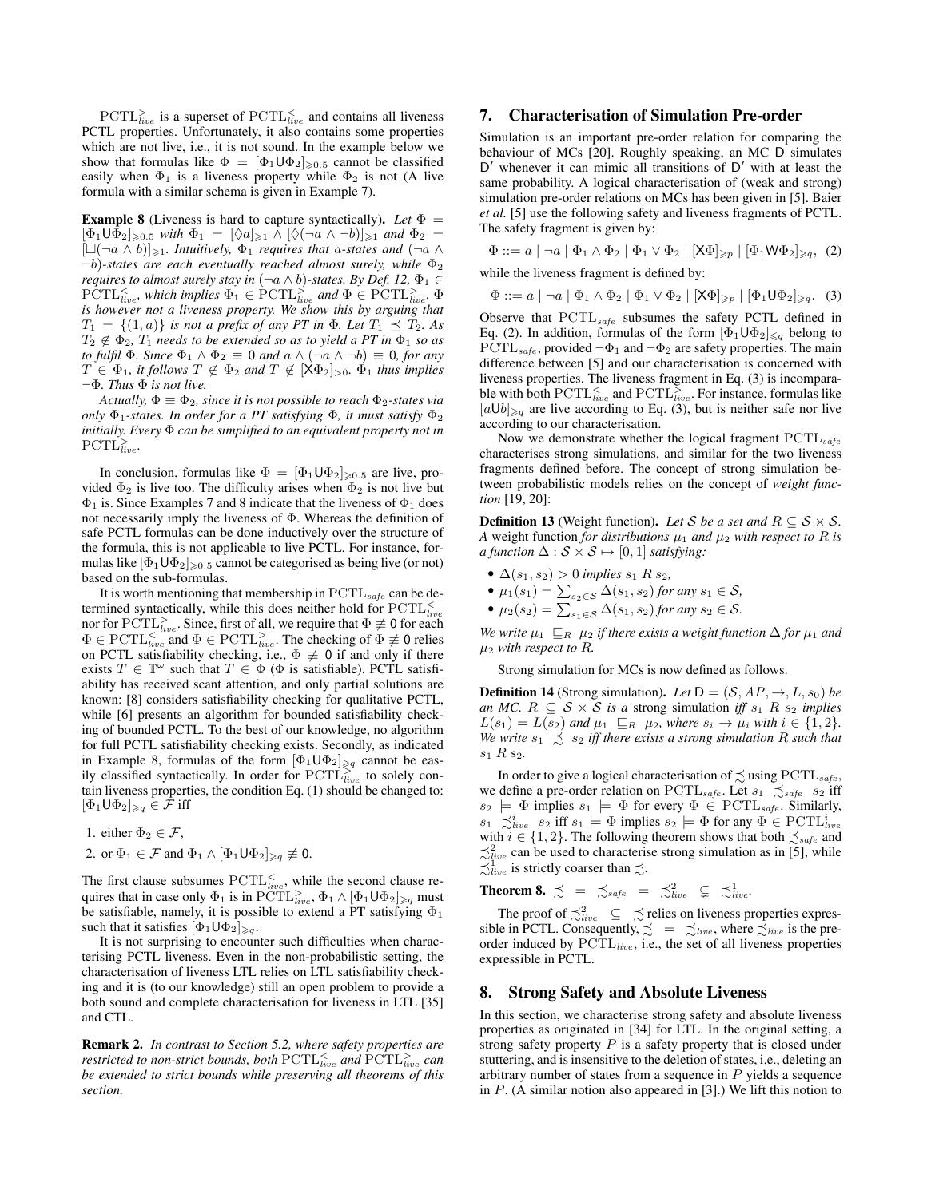$\text{PCTL}_{live}^>$  is a superset of  $\text{PCTL}_{live}^<$  and contains all liveness PCTL properties. Unfortunately, it also contains some properties which are not live, i.e., it is not sound. In the example below we show that formulas like  $\Phi = [\Phi_1 \cup \Phi_2]_{\geqslant 0.5}$  cannot be classified easily when  $\Phi_1$  is a liveness property while  $\Phi_2$  is not (A live formula with a similar schema is given in Example 7).

**Example 8** (Liveness is hard to capture syntactically). Let  $\Phi$  =  $[\Phi_1 \cup \Phi_2]_{\geqslant 0.5}$  *with*  $\Phi_1 = [\Diamond a]_{\geqslant 1} \land [\Diamond (\neg a \land \neg b)]_{\geqslant 1}$  *and*  $\Phi_2 =$  $[\Box(\neg a \land b)]_{\geqslant 1}$ *. Intuitively,*  $\Phi_1$  *requires that a-states and*  $(\neg a \land b)$  $\neg b$ )-states are each eventually reached almost surely, while  $\Phi_2$ *requires to almost surely stay in*  $(\neg a \land b)$ -states. By Def. 12,  $\Phi_1 \in$  $\text{PCTL}_{live}^{\leq}$ , which implies  $\Phi_1 \in \text{PCTL}_{live}^{\geq}$  and  $\Phi \in \text{PCTL}_{live}^{\geq}$ .  $\Phi$ *is however not a liveness property. We show this by arguing that*  $T_1 = \{(1, a)\}\$ is not a prefix of any PT in  $\Phi$ *. Let*  $T_1 \preceq T_2$ *. As*  $T_2 \notin \Phi_2$ ,  $T_1$  *needs to be extended so as to yield a PT in*  $\Phi_1$  *so as to fulfil*  $\Phi$ *. Since*  $\Phi_1 \wedge \Phi_2 \equiv 0$  *and*  $a \wedge (\neg a \wedge \neg b) \equiv 0$ *, for any*  $T \in \Phi_1$ , it follows  $T \notin \Phi_2$  and  $T \notin [X\Phi_2]_{>0}$ .  $\Phi_1$  thus implies ¬Φ*. Thus* Φ *is not live.*

*Actually,*  $\Phi \equiv \Phi_2$ *, since it is not possible to reach*  $\Phi_2$ -states via *only*  $\Phi_1$ -states. In order for a PT satisfying  $\Phi$ , it must satisfy  $\Phi_2$ *initially. Every* Φ *can be simplified to an equivalent property not in*  $\text{PCTL}^{\geq}_{live}.$ 

In conclusion, formulas like  $\Phi = [\Phi_1 \cup \Phi_2]_{\geq 0.5}$  are live, provided  $\Phi_2$  is live too. The difficulty arises when  $\Phi_2$  is not live but  $\Phi_1$  is. Since Examples 7 and 8 indicate that the liveness of  $\Phi_1$  does not necessarily imply the liveness of Φ. Whereas the definition of safe PCTL formulas can be done inductively over the structure of the formula, this is not applicable to live PCTL. For instance, formulas like  $[\Phi_1 \cup \Phi_2]_{\geq 0.5}$  cannot be categorised as being live (or not) based on the sub-formulas.

It is worth mentioning that membership in  $PCTL_{safe}$  can be determined syntactically, while this does neither hold for  $\text{PCTL}_{live}^<$ nor for  $\text{PCTL}_{live}^>$ . Since, first of all, we require that  $\Phi \not\equiv 0$  for each  $\Phi \in \mathrm{PCTL}_{live}^{< \; \text{mod} \; \Phi} \in \mathrm{PCTL}_{live}^{> \; \text{The checking of} \; \Phi \not\equiv 0 \; \text{relies}}$ on PCTL satisfiability checking, i.e.,  $\Phi \neq 0$  if and only if there exists  $T \in \mathbb{T}^{\omega}$  such that  $T \in \Phi$  ( $\Phi$  is satisfiable). PCTL satisfiability has received scant attention, and only partial solutions are known: [8] considers satisfiability checking for qualitative PCTL, while [6] presents an algorithm for bounded satisfiability checking of bounded PCTL. To the best of our knowledge, no algorithm for full PCTL satisfiability checking exists. Secondly, as indicated in Example 8, formulas of the form  $[\Phi_1 \cup \Phi_2]_{\geq q}$  cannot be easily classified syntactically. In order for  $\text{PCTL}_{live}^{>}$  to solely contain liveness properties, the condition Eq. (1) should be changed to:  $[\Phi_1 \cup \Phi_2]_{\geqslant q} \in \mathcal{F}$  iff

1. either  $\Phi_2 \in \mathcal{F}$ , 2. or  $\Phi_1 \in \mathcal{F}$  and  $\Phi_1 \wedge [\Phi_1 \cup \Phi_2]_{\geq q} \not\equiv 0$ .

The first clause subsumes  $\text{PCTL}_{live}^{\le}$ , while the second clause requires that in case only  $\Phi_1$  is in  $\tilde{\text{PCTL}}_{live}^>$ ,  $\Phi_1 \wedge [\Phi_1 \cup \Phi_2]_{\geq q}$  must be satisfiable, namely, it is possible to extend a PT satisfying  $\Phi_1$ such that it satisfies  $[\Phi_1 \cup \Phi_2]_{\geq q}$ .

It is not surprising to encounter such difficulties when characterising PCTL liveness. Even in the non-probabilistic setting, the characterisation of liveness LTL relies on LTL satisfiability checking and it is (to our knowledge) still an open problem to provide a both sound and complete characterisation for liveness in LTL [35] and CTL.

Remark 2. *In contrast to Section 5.2, where safety properties are* restricted to non-strict bounds, both  $\text{PCTL}_{live}^<$  and  $\text{PCTL}_{live}^>$  can *be extended to strict bounds while preserving all theorems of this section.*

# 7. Characterisation of Simulation Pre-order

Simulation is an important pre-order relation for comparing the behaviour of MCs [20]. Roughly speaking, an MC D simulates D' whenever it can mimic all transitions of D' with at least the same probability. A logical characterisation of (weak and strong) simulation pre-order relations on MCs has been given in [5]. Baier *et al.* [5] use the following safety and liveness fragments of PCTL. The safety fragment is given by:

 $\Phi ::= a \mid \neg a \mid \Phi_1 \wedge \Phi_2 \mid \Phi_1 \vee \Phi_2 \mid [X\Phi]_{\geq p} \mid [\Phi_1 W \Phi_2]_{\geq q}$ , (2) while the liveness fragment is defined by:

 $\Phi ::= a \mid \neg a \mid \Phi_1 \wedge \Phi_2 \mid \Phi_1 \vee \Phi_2 \mid [X\Phi]_{\geqslant p} \mid [\Phi_1 \cup \Phi_2]_{\geqslant q}.$  (3)

Observe that  $PCTL_{safe}$  subsumes the safety PCTL defined in Eq. (2). In addition, formulas of the form  $[\Phi_1 \cup \Phi_2]_{\leq q}$  belong to  $PCTL_{safe}$ , provided  $\neg \Phi_1$  and  $\neg \Phi_2$  are safety properties. The main difference between [5] and our characterisation is concerned with liveness properties. The liveness fragment in Eq. (3) is incomparable with both  $\text{PCTL}_{live}^{\le}$  and  $\text{PCTL}_{live}^{\ge}$ . For instance, formulas like  $[a \cup b]_{\geq q}$  are live according to Eq. (3), but is neither safe nor live according to our characterisation.

Now we demonstrate whether the logical fragment  $PCTL_{safe}$ characterises strong simulations, and similar for the two liveness fragments defined before. The concept of strong simulation between probabilistic models relies on the concept of *weight function* [19, 20]:

**Definition 13** (Weight function). Let S be a set and  $R \subseteq S \times S$ . *A* weight function *for distributions*  $\mu_1$  *and*  $\mu_2$  *with respect to* R *is a function*  $\Delta : \mathcal{S} \times \mathcal{S} \mapsto [0, 1]$  *satisfying:* 

- $\Delta(s_1, s_2) > 0$  *implies*  $s_1$  *R*  $s_2$ *,*
- $\mu_1(s_1) = \sum_{s_2 \in \mathcal{S}} \Delta(s_1, s_2)$  *for any*  $s_1 \in \mathcal{S}$ *,*
- $\mu_2(s_2) = \sum_{s_1 \in S} \Delta(s_1, s_2)$  *for any*  $s_2 \in S$ *.*

*We write*  $\mu_1 \subseteq_R \mu_2$  *if there exists a weight function*  $\Delta$  *for*  $\mu_1$  *and* µ<sup>2</sup> *with respect to* R*.*

Strong simulation for MCs is now defined as follows.

**Definition 14** (Strong simulation). Let  $D = (S, AP, \rightarrow, L, s_0)$  be *an MC.*  $R \subseteq S \times S$  *is a* strong simulation *iff*  $s_1$   $R$   $s_2$  *implies*  $L(s_1) = L(s_2)$  and  $\mu_1 \subseteq_R \mu_2$ , where  $s_i \to \mu_i$  with  $i \in \{1, 2\}$ . *We write*  $s_1 \precsim s_2$  *iff there exists a strong simulation* R *such that* s<sup>1</sup> R s2*.*

In order to give a logical characterisation of  $\precsim$  using PCTL<sub>safe</sub>, we define a pre-order relation on PCTL<sub>safe</sub>. Let  $s_1 \precsim_{\text{safe}} s_2$  iff  $s_2 \models \Phi$  implies  $s_1 \models \Phi$  for every  $\Phi \in \text{PCTL}_{\text{safe}}$ . Similarly,  $s_1 \precsim_{live}^{i} s_2$  iff  $s_1 \models \Phi$  implies  $s_2 \models \Phi$  for any  $\Phi \in \text{PCTL}_{live}^{i}$  with  $i \in \{1, 2\}$ . The following theorem shows that both  $\precsim_{safe}$  and  $\lesssim_{live}^{2}$  can be used to characterise strong simulation as in [5], while  $\lesssim_{live}^{1}$  is strictly coarser than  $\lesssim$ .

**Theorem 8.**  $\precsim$  =  $\precsim_{\text{safe}}$  =  $\precsim_{\text{live}}^2$   $\subsetneq$   $\precsim_{\text{live}}^1$ .

The proof of  $\precsim_{live}^2 \subseteq \precsim$  relies on liveness properties expressible in PCTL. Consequently,  $\precsim$  =  $\precsim$  live, where  $\precsim$  live is the preorder induced by PCTL<sub>live</sub>, i.e., the set of all liveness properties expressible in PCTL.

#### 8. Strong Safety and Absolute Liveness

In this section, we characterise strong safety and absolute liveness properties as originated in [34] for LTL. In the original setting, a strong safety property  $P$  is a safety property that is closed under stuttering, and is insensitive to the deletion of states, i.e., deleting an arbitrary number of states from a sequence in P yields a sequence in  $P$ . (A similar notion also appeared in [3].) We lift this notion to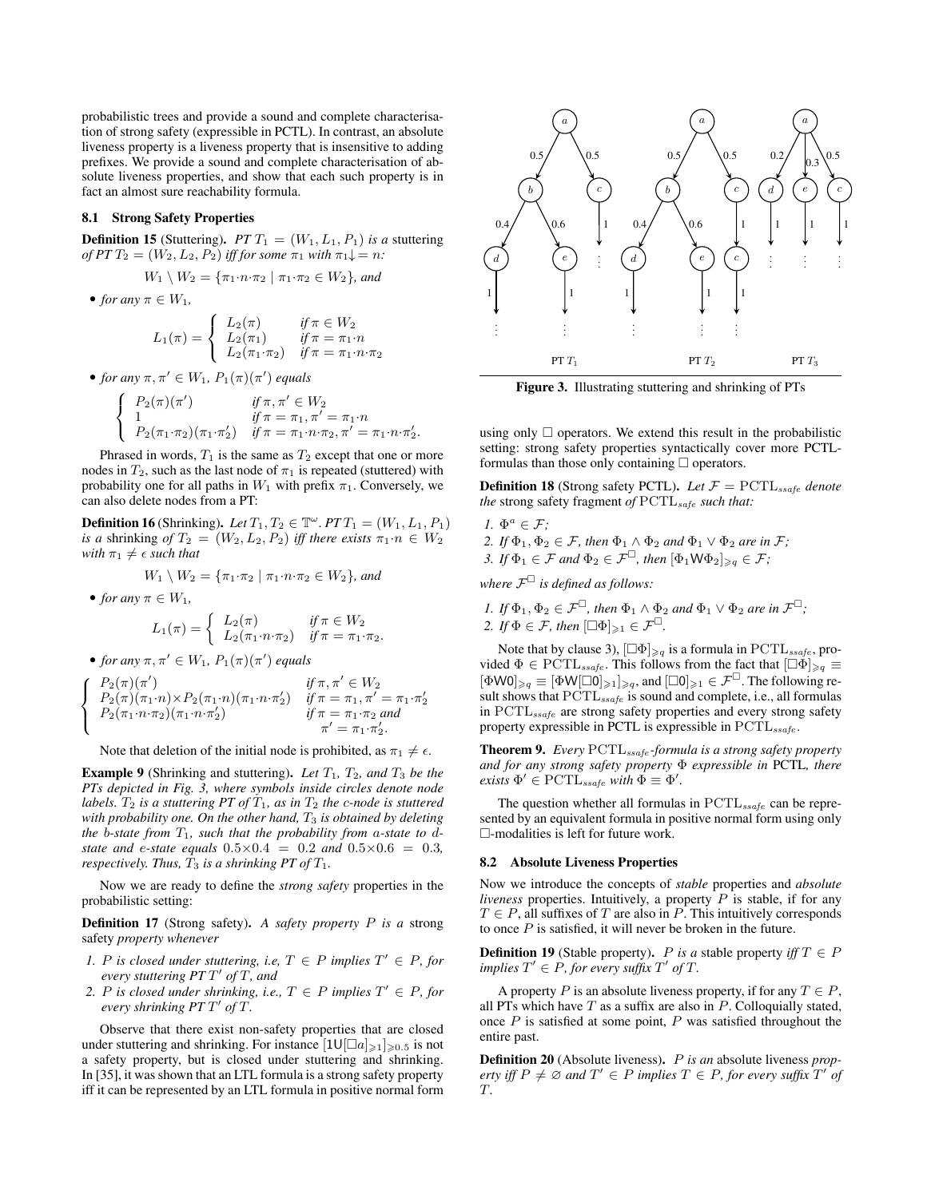probabilistic trees and provide a sound and complete characterisation of strong safety (expressible in PCTL). In contrast, an absolute liveness property is a liveness property that is insensitive to adding prefixes. We provide a sound and complete characterisation of absolute liveness properties, and show that each such property is in fact an almost sure reachability formula.

## 8.1 Strong Safety Properties

**Definition 15** (Stuttering).  $PTT_1 = (W_1, L_1, P_1)$  *is a* stuttering *of PT*  $T_2 = (W_2, L_2, P_2)$  *iff for some*  $\pi_1$  *with*  $\pi_1 \downarrow = n$ *:* 

$$
W_1 \setminus W_2 = \{ \pi_1 \cdot n \cdot \pi_2 \mid \pi_1 \cdot \pi_2 \in W_2 \}, \text{ and}
$$

• *for any*  $\pi \in W_1$ ,

$$
L_1(\pi) = \begin{cases} L_2(\pi) & \text{if } \pi \in W_2 \\ L_2(\pi_1) & \text{if } \pi = \pi_1 \cdot n \\ L_2(\pi_1 \cdot \pi_2) & \text{if } \pi = \pi_1 \cdot n \cdot \pi_2 \end{cases}
$$

• *for any*  $\pi, \pi' \in W_1$ ,  $P_1(\pi)(\pi')$  *equals* 

$$
\begin{cases}\nP_2(\pi)(\pi') & \text{if } \pi, \pi' \in W_2 \\
1 & \text{if } \pi = \pi_1, \pi' = \pi_1 \cdot n \\
P_2(\pi_1 \cdot \pi_2)(\pi_1 \cdot \pi_2') & \text{if } \pi = \pi_1 \cdot n \cdot \pi_2, \pi' = \pi_1 \cdot n \cdot \pi_2'.\n\end{cases}
$$

Phrased in words,  $T_1$  is the same as  $T_2$  except that one or more nodes in  $T_2$ , such as the last node of  $\pi_1$  is repeated (stuttered) with probability one for all paths in  $W_1$  with prefix  $\pi_1$ . Conversely, we can also delete nodes from a PT:

**Definition 16** (Shrinking). *Let*  $T_1, T_2 \in \mathbb{T}^\omega$ .  $PTT_1 = (W_1, L_1, P_1)$ *is a* shrinking *of*  $T_2 = (W_2, L_2, P_2)$  *iff there exists*  $\pi_1 \cdot n \in W_2$ *with*  $\pi_1 \neq \epsilon$  *such that* 

$$
W_1 \setminus W_2 = \{ \pi_1 \cdot \pi_2 \mid \pi_1 \cdot n \cdot \pi_2 \in W_2 \}, \text{ and}
$$

• *for any*  $\pi \in W_1$ ,

 $\sqrt{ }$  $\int$  $\overline{a}$ 

$$
L_1(\pi) = \begin{cases} L_2(\pi) & \text{if } \pi \in W_2 \\ L_2(\pi_1 \cdot n \cdot \pi_2) & \text{if } \pi = \pi_1 \cdot \pi_2. \end{cases}
$$

• *for any*  $\pi, \pi' \in W_1$ ,  $P_1(\pi)(\pi')$  *equals* 

$$
P_2(\pi)(\pi') \quad if \pi, \pi' \in W_2
$$
  
\n
$$
P_2(\pi)(\pi_1 \cdot n) \times P_2(\pi_1 \cdot n)(\pi_1 \cdot n \cdot \pi'_2) \quad if \pi = \pi_1, \pi' = \pi_1 \cdot \pi'_2
$$
  
\n
$$
P_2(\pi_1 \cdot n \cdot \pi_2)(\pi_1 \cdot n \cdot \pi'_2) \quad if \pi = \pi_1 \cdot \pi_2 \text{ and}
$$
  
\n
$$
\pi' = \pi_1 \cdot \pi'_2.
$$

Note that deletion of the initial node is prohibited, as  $\pi_1 \neq \epsilon$ .

**Example 9** (Shrinking and stuttering). Let  $T_1$ ,  $T_2$ , and  $T_3$  be the *PTs depicted in Fig. 3, where symbols inside circles denote node labels.*  $T_2$  *is a stuttering PT of*  $T_1$ *, as in*  $T_2$  *the c-node is stuttered with probability one. On the other hand,*  $T_3$  *is obtained by deleting the* b-state from  $T_1$ , such that the probability from a-state to d*state and* e*-state equals* 0.5×0.4 = 0.2 *and* 0.5×0.6 = 0.3*, respectively. Thus,*  $T_3$  *is a shrinking PT of*  $T_1$ *.* 

Now we are ready to define the *strong safety* properties in the probabilistic setting:

Definition 17 (Strong safety). *A safety property* P *is a* strong safety *property whenever*

- *1.* P is closed under stuttering, i.e,  $T \in P$  implies  $T' \in P$ , for *every stuttering PT* T 0 *of* T*, and*
- 2. P is closed under shrinking, i.e.,  $T \in P$  implies  $T' \in P$ , for *every shrinking PT* T 0 *of* T*.*

Observe that there exist non-safety properties that are closed under stuttering and shrinking. For instance  $[1 \cup [a]_{\geq 1}]_{\geq 0.5}$  is not a safety property, but is closed under stuttering and shrinking. In [35], it was shown that an LTL formula is a strong safety property iff it can be represented by an LTL formula in positive normal form



Figure 3. Illustrating stuttering and shrinking of PTs

using only  $\Box$  operators. We extend this result in the probabilistic setting: strong safety properties syntactically cover more PCTLformulas than those only containing  $\Box$  operators.

**Definition 18** (Strong safety PCTL). Let  $\mathcal{F} = \text{PCTL}_{ssafe}$  denote *the* strong safety fragment *of* PCTL<sub>safe</sub> such that:

*1.*  $\Phi^a \in \mathcal{F}$ ; 2. *If*  $\Phi_1, \Phi_2 \in \mathcal{F}$ , then  $\Phi_1 \wedge \Phi_2$  *and*  $\Phi_1 \vee \Phi_2$  *are in*  $\mathcal{F}$ *; 3. If*  $\Phi_1 \in \mathcal{F}$  *and*  $\Phi_2 \in \mathcal{F}^{\square}$ *, then*  $\left[\Phi_1 \mathsf{W} \Phi_2 \right]_{\geq q} \in \mathcal{F}$ *;* 

where  $\mathcal{F}^{\square}$  is defined as follows:

*I.* If 
$$
\Phi_1, \Phi_2 \in \mathcal{F}^{\square}
$$
, then  $\Phi_1 \wedge \Phi_2$  and  $\Phi_1 \vee \Phi_2$  are in  $\mathcal{F}^{\square}$ ;  
2. If  $\Phi \in \mathcal{F}$ , then  $[\square \Phi]_{\geq 1} \in \mathcal{F}^{\square}$ .

Note that by clause 3),  $[\Box \Phi]_{\geq q}$  is a formula in PCTL<sub>ssafe</sub>, provided  $\Phi \in \text{PCTL}_{ssafe}$ . This follows from the fact that  $[\Box \Phi]_{\geqslant q} \equiv$  $[\Phi \text{WO}]_{\geqslant q} \equiv [\Phi \text{W}[\Box \text{O}]_{\geqslant 1}]_{\geqslant q}$ , and  $[\Box \text{O}]_{\geqslant 1} \in \mathcal{F}^{\Box}$ . The following result shows that  $\text{PCTL}_{ssafe}$  is sound and complete, i.e., all formulas in PCTL<sub>ssafe</sub> are strong safety properties and every strong safety property expressible in PCTL is expressible in  $PCTL_{ssafe}$ .

Theorem 9. *Every* PCTLssafe *-formula is a strong safety property and for any strong safety property* Φ *expressible in* PCTL*, there*  $\text{exists } \Phi' \in \text{PCTL}_{ssafe} \text{ with } \Phi \equiv \Phi'.$ 

The question whether all formulas in  $PCTL_{ssafe}$  can be represented by an equivalent formula in positive normal form using only  $\Box$ -modalities is left for future work.

#### 8.2 Absolute Liveness Properties

Now we introduce the concepts of *stable* properties and *absolute liveness* properties. Intuitively, a property  $P$  is stable, if for any  $T \in P$ , all suffixes of T are also in P. This intuitively corresponds to once  $P$  is satisfied, it will never be broken in the future.

**Definition 19** (Stable property). P is a stable property iff  $T \in P$  $implies T' \in P$ , for every suffix  $T'$  of  $T$ .

A property P is an absolute liveness property, if for any  $T \in P$ , all PTs which have  $T$  as a suffix are also in  $P$ . Colloquially stated, once  $P$  is satisfied at some point,  $P$  was satisfied throughout the entire past.

Definition 20 (Absolute liveness). P *is an* absolute liveness *property iff*  $P \neq \emptyset$  *and*  $T' \in P$  *implies*  $T \in P$ *, for every suffix*  $T'$  *of* T*.*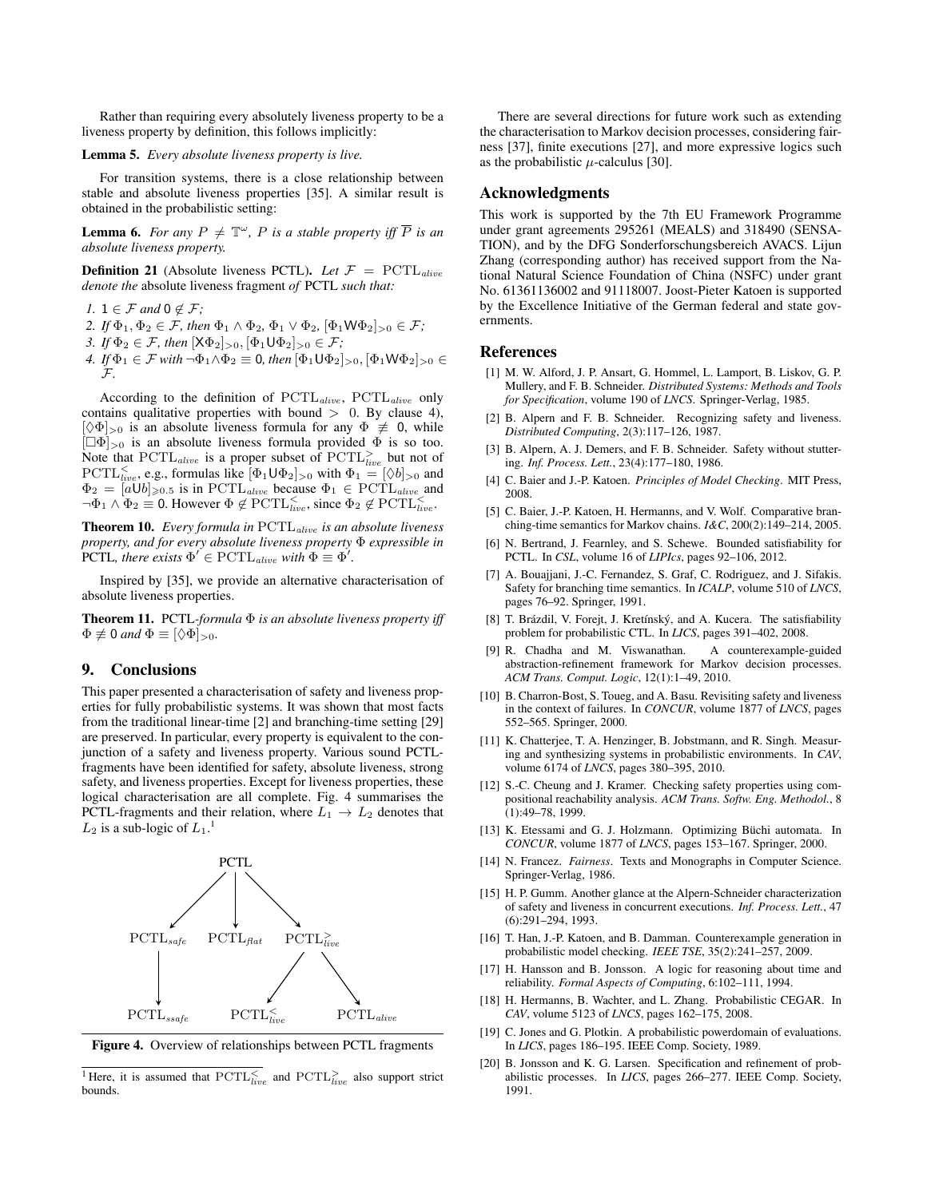Rather than requiring every absolutely liveness property to be a liveness property by definition, this follows implicitly:

#### Lemma 5. *Every absolute liveness property is live.*

For transition systems, there is a close relationship between stable and absolute liveness properties [35]. A similar result is obtained in the probabilistic setting:

**Lemma 6.** For any  $P \neq \mathbb{T}^{\omega}$ , P is a stable property iff  $\overline{P}$  is an *absolute liveness property.*

**Definition 21** (Absolute liveness PCTL). Let  $\mathcal{F} = \text{PCTL}_{alive}$ *denote the* absolute liveness fragment *of* PCTL *such that:*

- *1.*  $1 \in \mathcal{F}$  and  $0 \notin \mathcal{F}$ ;
- 2. *If*  $\Phi_1, \Phi_2 \in \mathcal{F}$ *, then*  $\Phi_1 \wedge \Phi_2$ ,  $\Phi_1 \vee \Phi_2$ ,  $[\Phi_1 \mathsf{W} \Phi_2]_{>0} \in \mathcal{F}$ *;*
- *3. If*  $\Phi_2 \in \mathcal{F}$ *, then*  $[X\Phi_2]_{>0}, [\Phi_1 \mathsf{U} \Phi_2]_{>0} \in \mathcal{F}$ *;*
- *4. If*  $\Phi_1 \in \mathcal{F}$  *with*  $\neg \Phi_1 \wedge \Phi_2 \equiv 0$ *, then*  $[\Phi_1 \cup \Phi_2]_{>0}$ ,  $[\Phi_1 \cup \Phi_2]_{>0} \in$ F*.*

According to the definition of PCTL<sub>alive</sub>, PCTL<sub>alive</sub> only contains qualitative properties with bound  $> 0$ . By clause 4),  $[\Diamond \Phi]_{>0}$  is an absolute liveness formula for any  $\Phi \neq 0$ , while  $[\Box \Phi]_{>0}$  is an absolute liveness formula provided  $\Phi$  is so too. Note that  $\text{PCTL}_{alive}$  is a proper subset of  $\text{PCTL}_{live}^>$  but not of  $PCTL_{live}^{\leq}$ , e.g., formulas like  $[\Phi_1 \cup \Phi_2]_{>0}$  with  $\Phi_1 = [\Diamond b]_{>0}$  and  $\Phi_2 = [a \overline{U}b]_{\geqslant 0.5}$  is in PCTL<sub>alive</sub> because  $\Phi_1 \in \text{PCTL}_{alive}$  and  $\neg \Phi_1 \wedge \Phi_2 \equiv 0$ . However  $\Phi \notin \operatorname{PCTL}_{live}^{\leq}$ , since  $\Phi_2 \notin \operatorname{PCTL}_{live}^{\leq}$ .

Theorem 10. *Every formula in* PCTLalive *is an absolute liveness property, and for every absolute liveness property* Φ *expressible in* PCTL, there exists  $\Phi' \in \mathrm{PCTL}_{alive}$  with  $\Phi \equiv \Phi'$ .

Inspired by [35], we provide an alternative characterisation of absolute liveness properties.

Theorem 11. PCTL*-formula* Φ *is an absolute liveness property iff*  $\Phi \not\equiv 0$  *and*  $\Phi \equiv [\Diamond \Phi]_{>0}$ .

# 9. Conclusions

This paper presented a characterisation of safety and liveness properties for fully probabilistic systems. It was shown that most facts from the traditional linear-time [2] and branching-time setting [29] are preserved. In particular, every property is equivalent to the conjunction of a safety and liveness property. Various sound PCTLfragments have been identified for safety, absolute liveness, strong safety, and liveness properties. Except for liveness properties, these logical characterisation are all complete. Fig. 4 summarises the PCTL-fragments and their relation, where  $L_1 \rightarrow L_2$  denotes that  $L_2$  is a sub-logic of  $L_1$ .<sup>1</sup>



Figure 4. Overview of relationships between PCTL fragments

<sup>1</sup>Here, it is assumed that  $\text{PCTL}_{live}^{\leq}$  and  $\text{PCTL}_{live}^{\geq}$  also support strict bounds.

There are several directions for future work such as extending the characterisation to Markov decision processes, considering fairness [37], finite executions [27], and more expressive logics such as the probabilistic  $\mu$ -calculus [30].

## Acknowledgments

This work is supported by the 7th EU Framework Programme under grant agreements 295261 (MEALS) and 318490 (SENSA-TION), and by the DFG Sonderforschungsbereich AVACS. Lijun Zhang (corresponding author) has received support from the National Natural Science Foundation of China (NSFC) under grant No. 61361136002 and 91118007. Joost-Pieter Katoen is supported by the Excellence Initiative of the German federal and state governments.

#### References

- [1] M. W. Alford, J. P. Ansart, G. Hommel, L. Lamport, B. Liskov, G. P. Mullery, and F. B. Schneider. *Distributed Systems: Methods and Tools for Specification*, volume 190 of *LNCS*. Springer-Verlag, 1985.
- [2] B. Alpern and F. B. Schneider. Recognizing safety and liveness. *Distributed Computing*, 2(3):117–126, 1987.
- [3] B. Alpern, A. J. Demers, and F. B. Schneider. Safety without stuttering. *Inf. Process. Lett.*, 23(4):177–180, 1986.
- [4] C. Baier and J.-P. Katoen. *Principles of Model Checking*. MIT Press, 2008.
- [5] C. Baier, J.-P. Katoen, H. Hermanns, and V. Wolf. Comparative branching-time semantics for Markov chains. *I&C*, 200(2):149–214, 2005.
- [6] N. Bertrand, J. Fearnley, and S. Schewe. Bounded satisfiability for PCTL. In *CSL*, volume 16 of *LIPIcs*, pages 92–106, 2012.
- [7] A. Bouajjani, J.-C. Fernandez, S. Graf, C. Rodriguez, and J. Sifakis. Safety for branching time semantics. In *ICALP*, volume 510 of *LNCS*, pages 76–92. Springer, 1991.
- [8] T. Brázdil, V. Forejt, J. Kretínský, and A. Kucera. The satisfiability problem for probabilistic CTL. In *LICS*, pages 391–402, 2008.
- [9] R. Chadha and M. Viswanathan. A counterexample-guided abstraction-refinement framework for Markov decision processes. *ACM Trans. Comput. Logic*, 12(1):1–49, 2010.
- [10] B. Charron-Bost, S. Toueg, and A. Basu. Revisiting safety and liveness in the context of failures. In *CONCUR*, volume 1877 of *LNCS*, pages 552–565. Springer, 2000.
- [11] K. Chatterjee, T. A. Henzinger, B. Jobstmann, and R. Singh. Measuring and synthesizing systems in probabilistic environments. In *CAV*, volume 6174 of *LNCS*, pages 380–395, 2010.
- [12] S.-C. Cheung and J. Kramer. Checking safety properties using compositional reachability analysis. *ACM Trans. Softw. Eng. Methodol.*, 8 (1):49–78, 1999.
- [13] K. Etessami and G. J. Holzmann. Optimizing Büchi automata. In *CONCUR*, volume 1877 of *LNCS*, pages 153–167. Springer, 2000.
- [14] N. Francez. *Fairness*. Texts and Monographs in Computer Science. Springer-Verlag, 1986.
- [15] H. P. Gumm. Another glance at the Alpern-Schneider characterization of safety and liveness in concurrent executions. *Inf. Process. Lett.*, 47 (6):291–294, 1993.
- [16] T. Han, J.-P. Katoen, and B. Damman. Counterexample generation in probabilistic model checking. *IEEE TSE*, 35(2):241–257, 2009.
- [17] H. Hansson and B. Jonsson. A logic for reasoning about time and reliability. *Formal Aspects of Computing*, 6:102–111, 1994.
- [18] H. Hermanns, B. Wachter, and L. Zhang. Probabilistic CEGAR. In *CAV*, volume 5123 of *LNCS*, pages 162–175, 2008.
- [19] C. Jones and G. Plotkin. A probabilistic powerdomain of evaluations. In *LICS*, pages 186–195. IEEE Comp. Society, 1989.
- [20] B. Jonsson and K. G. Larsen. Specification and refinement of probabilistic processes. In *LICS*, pages 266–277. IEEE Comp. Society, 1991.